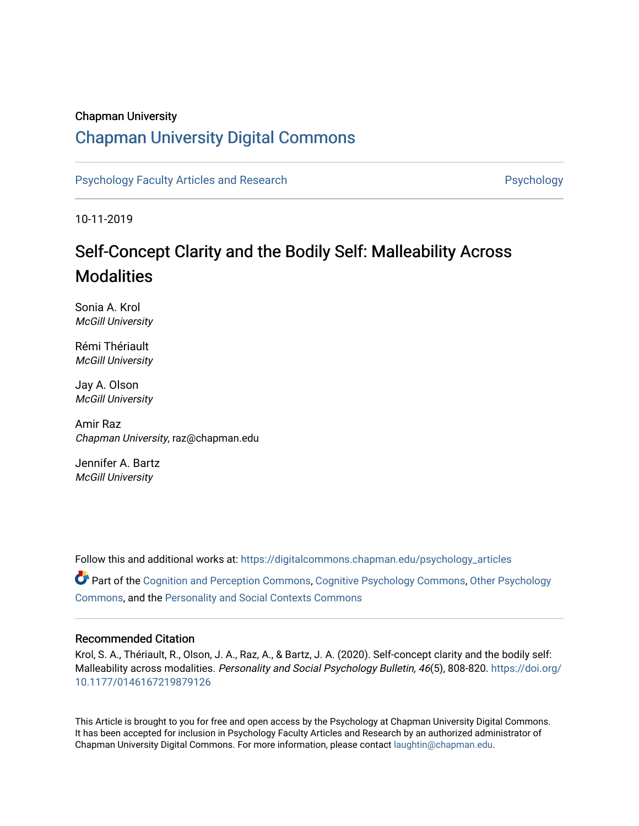# Chapman University

# [Chapman University Digital Commons](https://digitalcommons.chapman.edu/)

[Psychology Faculty Articles and Research](https://digitalcommons.chapman.edu/psychology_articles) **Provident Contact Article Structure** Psychology

10-11-2019

# Self-Concept Clarity and the Bodily Self: Malleability Across **Modalities**

Sonia A. Krol McGill University

Rémi Thériault McGill University

Jay A. Olson McGill University

Amir Raz Chapman University, raz@chapman.edu

Jennifer A. Bartz McGill University

Follow this and additional works at: [https://digitalcommons.chapman.edu/psychology\\_articles](https://digitalcommons.chapman.edu/psychology_articles?utm_source=digitalcommons.chapman.edu%2Fpsychology_articles%2F191&utm_medium=PDF&utm_campaign=PDFCoverPages) Part of the [Cognition and Perception Commons,](http://network.bepress.com/hgg/discipline/407?utm_source=digitalcommons.chapman.edu%2Fpsychology_articles%2F191&utm_medium=PDF&utm_campaign=PDFCoverPages) [Cognitive Psychology Commons](http://network.bepress.com/hgg/discipline/408?utm_source=digitalcommons.chapman.edu%2Fpsychology_articles%2F191&utm_medium=PDF&utm_campaign=PDFCoverPages), [Other Psychology](http://network.bepress.com/hgg/discipline/415?utm_source=digitalcommons.chapman.edu%2Fpsychology_articles%2F191&utm_medium=PDF&utm_campaign=PDFCoverPages) [Commons](http://network.bepress.com/hgg/discipline/415?utm_source=digitalcommons.chapman.edu%2Fpsychology_articles%2F191&utm_medium=PDF&utm_campaign=PDFCoverPages), and the [Personality and Social Contexts Commons](http://network.bepress.com/hgg/discipline/413?utm_source=digitalcommons.chapman.edu%2Fpsychology_articles%2F191&utm_medium=PDF&utm_campaign=PDFCoverPages)

### Recommended Citation

Krol, S. A., Thériault, R., Olson, J. A., Raz, A., & Bartz, J. A. (2020). Self-concept clarity and the bodily self: Malleability across modalities. Personality and Social Psychology Bulletin, 46(5), 808-820. [https://doi.org/](https://doi.org/10.1177/0146167219879126) [10.1177/0146167219879126](https://doi.org/10.1177/0146167219879126)

This Article is brought to you for free and open access by the Psychology at Chapman University Digital Commons. It has been accepted for inclusion in Psychology Faculty Articles and Research by an authorized administrator of Chapman University Digital Commons. For more information, please contact [laughtin@chapman.edu](mailto:laughtin@chapman.edu).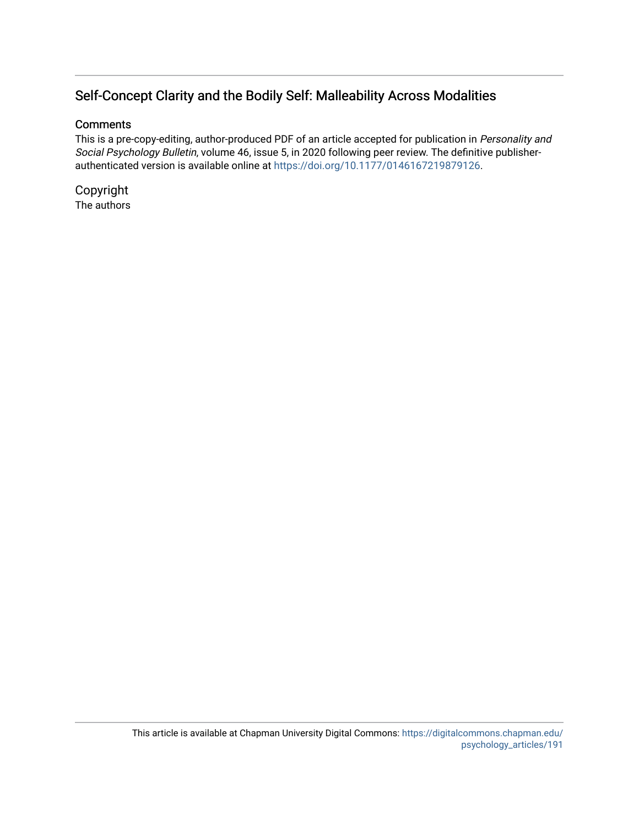# Self-Concept Clarity and the Bodily Self: Malleability Across Modalities

# **Comments**

This is a pre-copy-editing, author-produced PDF of an article accepted for publication in Personality and Social Psychology Bulletin, volume 46, issue 5, in 2020 following peer review. The definitive publisherauthenticated version is available online at <https://doi.org/10.1177/0146167219879126>.

Copyright The authors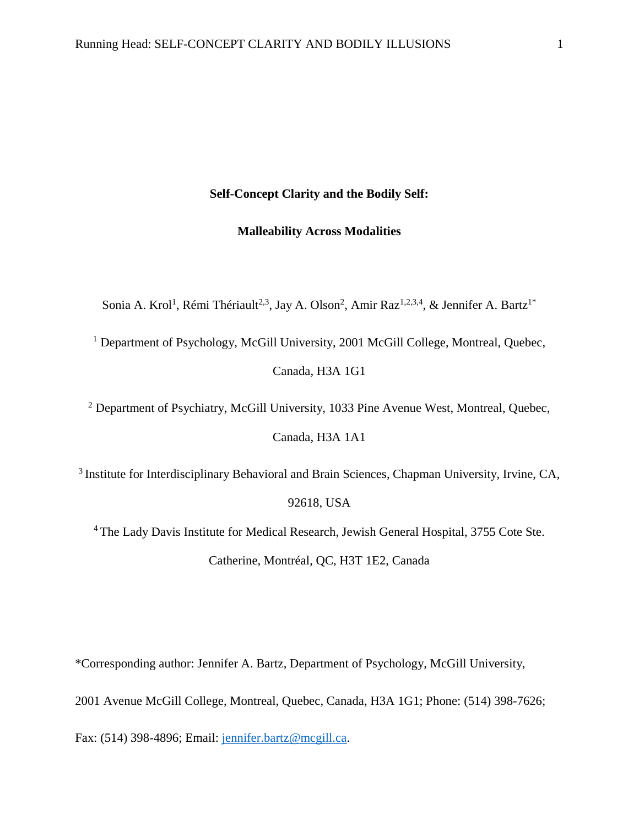# **Self-Concept Clarity and the Bodily Self:**

# **Malleability Across Modalities**

Sonia A. Krol<sup>1</sup>, Rémi Thériault<sup>2,3</sup>, Jay A. Olson<sup>2</sup>, Amir Raz<sup>1,2,3,4</sup>, & Jennifer A. Bartz<sup>1\*</sup>

<sup>1</sup> Department of Psychology, McGill University, 2001 McGill College, Montreal, Quebec,

Canada, H3A 1G1

<sup>2</sup> Department of Psychiatry, McGill University, 1033 Pine Avenue West, Montreal, Quebec,

Canada, H3A 1A1

<sup>3</sup> Institute for Interdisciplinary Behavioral and Brain Sciences, Chapman University, Irvine, CA,

92618, USA

<sup>4</sup> The Lady Davis Institute for Medical Research, Jewish General Hospital, 3755 Cote Ste. Catherine, Montréal, QC, H3T 1E2, Canada

\*Corresponding author: Jennifer A. Bartz, Department of Psychology, McGill University,

2001 Avenue McGill College, Montreal, Quebec, Canada, H3A 1G1; Phone: (514) 398-7626;

Fax: (514) 398-4896; Email: [jennifer.bartz@mcgill.ca.](mailto:jennifer.bartz@mcgill.ca)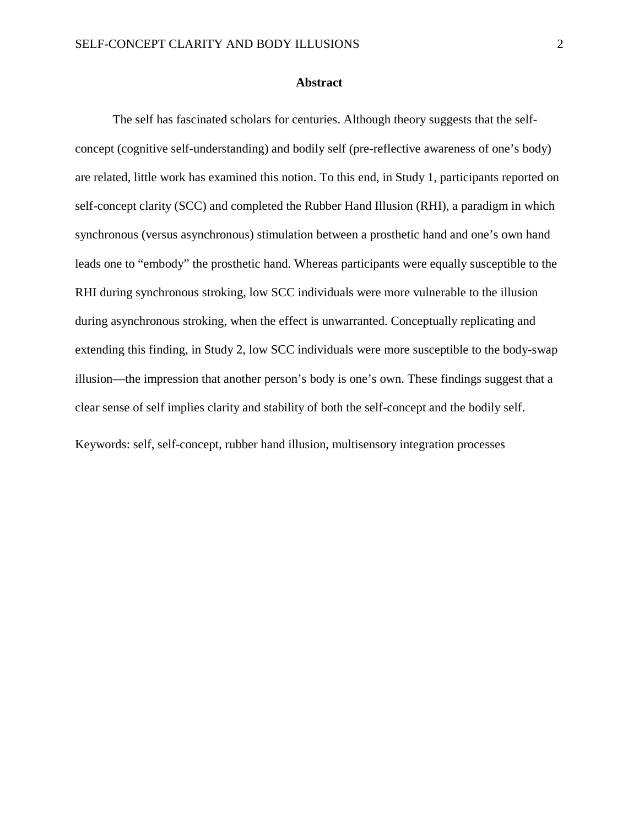#### **Abstract**

The self has fascinated scholars for centuries. Although theory suggests that the selfconcept (cognitive self-understanding) and bodily self (pre-reflective awareness of one's body) are related, little work has examined this notion. To this end, in Study 1, participants reported on self-concept clarity (SCC) and completed the Rubber Hand Illusion (RHI), a paradigm in which synchronous (versus asynchronous) stimulation between a prosthetic hand and one's own hand leads one to "embody" the prosthetic hand. Whereas participants were equally susceptible to the RHI during synchronous stroking, low SCC individuals were more vulnerable to the illusion during asynchronous stroking, when the effect is unwarranted. Conceptually replicating and extending this finding, in Study 2, low SCC individuals were more susceptible to the body-swap illusion—the impression that another person's body is one's own. These findings suggest that a clear sense of self implies clarity and stability of both the self-concept and the bodily self.

Keywords: self, self-concept, rubber hand illusion, multisensory integration processes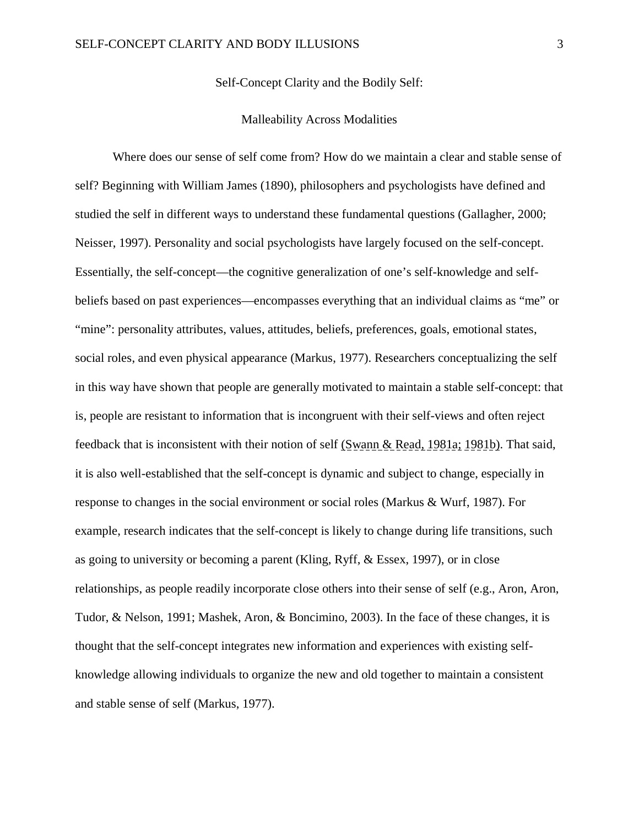Self-Concept Clarity and the Bodily Self:

#### Malleability Across Modalities

Where does our sense of self come from? How do we maintain a clear and stable sense of self? Beginning with William James (1890), philosophers and psychologists have defined and studied the self in different ways to understand these fundamental questions (Gallagher, 2000; Neisser, 1997). Personality and social psychologists have largely focused on the self-concept. Essentially, the self-concept—the cognitive generalization of one's self-knowledge and selfbeliefs based on past experiences—encompasses everything that an individual claims as "me" or "mine": personality attributes, values, attitudes, beliefs, preferences, goals, emotional states, social roles, and even physical appearance (Markus, 1977). Researchers conceptualizing the self in this way have shown that people are generally motivated to maintain a stable self-concept: that is, people are resistant to information that is incongruent with their self-views and often reject feedback that is inconsistent with their notion of self (Swann & Read, 1981a; 1981b). That said, it is also well-established that the self-concept is dynamic and subject to change, especially in response to changes in the social environment or social roles (Markus & Wurf, 1987). For example, research indicates that the self-concept is likely to change during life transitions, such as going to university or becoming a parent (Kling, Ryff, & Essex, 1997), or in close relationships, as people readily incorporate close others into their sense of self (e.g., Aron, Aron, Tudor, & Nelson, 1991; Mashek, Aron, & Boncimino, 2003). In the face of these changes, it is thought that the self-concept integrates new information and experiences with existing selfknowledge allowing individuals to organize the new and old together to maintain a consistent and stable sense of self (Markus, 1977).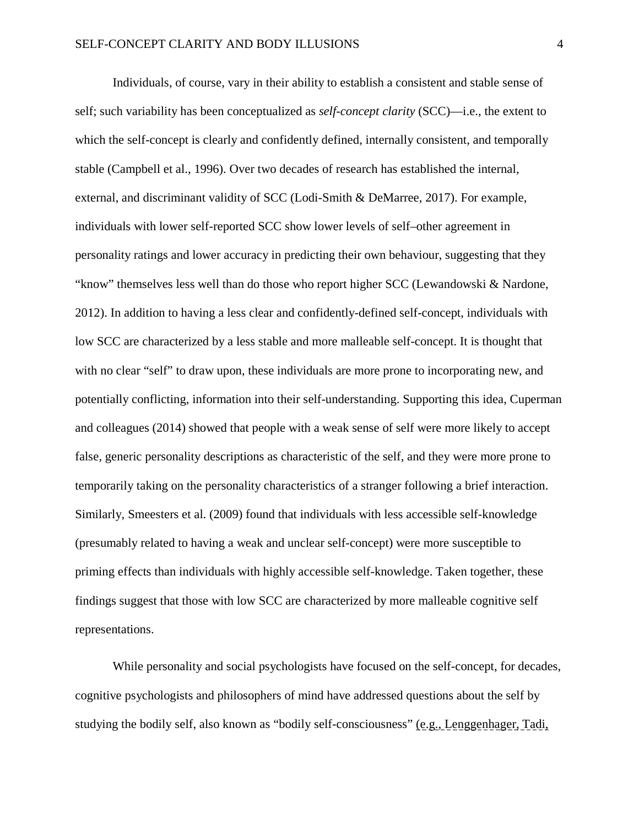Individuals, of course, vary in their ability to establish a consistent and stable sense of self; such variability has been conceptualized as *self-concept clarity* (SCC)—i.e., the extent to which the self-concept is clearly and confidently defined, internally consistent, and temporally stable (Campbell et al., 1996). Over two decades of research has established the internal, external, and discriminant validity of SCC (Lodi-Smith & DeMarree, 2017). For example, individuals with lower self-reported SCC show lower levels of self–other agreement in personality ratings and lower accuracy in predicting their own behaviour, suggesting that they "know" themselves less well than do those who report higher SCC (Lewandowski & Nardone, 2012). In addition to having a less clear and confidently-defined self-concept, individuals with low SCC are characterized by a less stable and more malleable self-concept. It is thought that with no clear "self" to draw upon, these individuals are more prone to incorporating new, and potentially conflicting, information into their self-understanding. Supporting this idea, Cuperman and colleagues (2014) showed that people with a weak sense of self were more likely to accept false, generic personality descriptions as characteristic of the self, and they were more prone to temporarily taking on the personality characteristics of a stranger following a brief interaction. Similarly, Smeesters et al. (2009) found that individuals with less accessible self-knowledge (presumably related to having a weak and unclear self-concept) were more susceptible to priming effects than individuals with highly accessible self-knowledge. Taken together, these findings suggest that those with low SCC are characterized by more malleable cognitive self representations.

While personality and social psychologists have focused on the self-concept, for decades, cognitive psychologists and philosophers of mind have addressed questions about the self by studying the bodily self, also known as "bodily self-consciousness" (e.g., Lenggenhager, Tadi,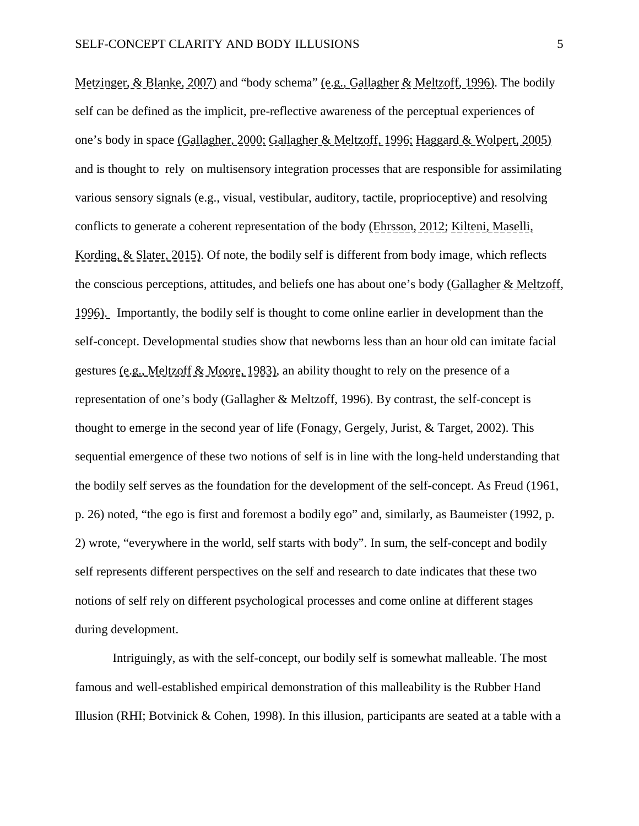Metzinger, & Blanke, 2007) and "body schema" (e.g., Gallagher & Meltzoff, 1996). The bodily self can be defined as the implicit, pre-reflective awareness of the perceptual experiences of one's body in space (Gallagher, 2000; Gallagher & Meltzoff, 1996; Haggard & Wolpert, 2005) and is thought to rely on multisensory integration processes that are responsible for assimilating various sensory signals (e.g., visual, vestibular, auditory, tactile, proprioceptive) and resolving conflicts to generate a coherent representation of the body (Ehrsson, 2012; Kilteni, Maselli, Kording, & Slater, 2015). Of note, the bodily self is different from body image, which reflects the conscious perceptions, attitudes, and beliefs one has about one's body (Gallagher & Meltzoff, 1996). Importantly, the bodily self is thought to come online earlier in development than the self-concept. Developmental studies show that newborns less than an hour old can imitate facial gestures (e.g., Meltzoff & Moore, 1983), an ability thought to rely on the presence of a representation of one's body (Gallagher & Meltzoff, 1996). By contrast, the self-concept is thought to emerge in the second year of life (Fonagy, Gergely, Jurist, & Target, 2002). This sequential emergence of these two notions of self is in line with the long-held understanding that the bodily self serves as the foundation for the development of the self-concept. As Freud (1961, p. 26) noted, "the ego is first and foremost a bodily ego" and, similarly, as Baumeister (1992, p. 2) wrote, "everywhere in the world, self starts with body". In sum, the self-concept and bodily self represents different perspectives on the self and research to date indicates that these two notions of self rely on different psychological processes and come online at different stages during development.

Intriguingly, as with the self-concept, our bodily self is somewhat malleable. The most famous and well-established empirical demonstration of this malleability is the Rubber Hand Illusion (RHI; Botvinick  $& Cohen, 1998$ ). In this illusion, participants are seated at a table with a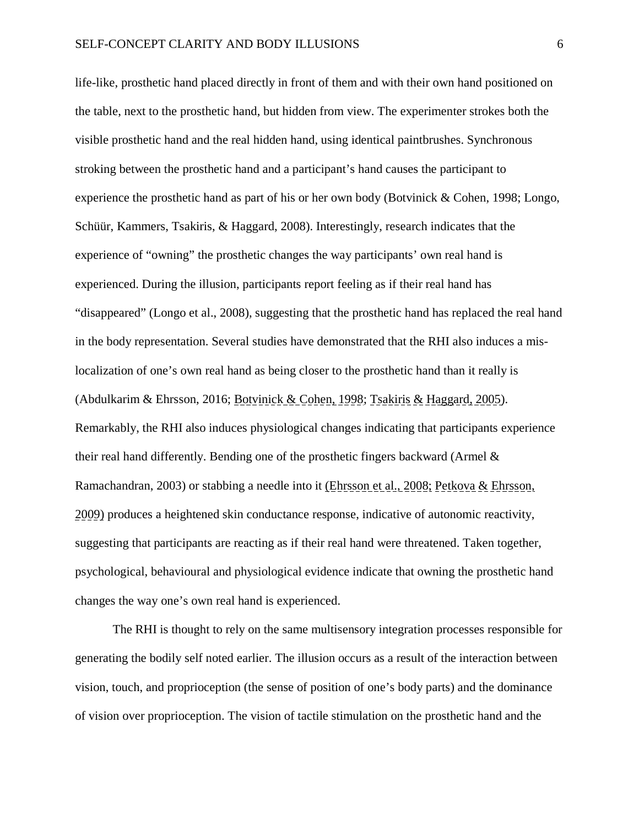life-like, prosthetic hand placed directly in front of them and with their own hand positioned on the table, next to the prosthetic hand, but hidden from view. The experimenter strokes both the visible prosthetic hand and the real hidden hand, using identical paintbrushes. Synchronous stroking between the prosthetic hand and a participant's hand causes the participant to experience the prosthetic hand as part of his or her own body (Botvinick & Cohen, 1998; Longo, Schüür, Kammers, Tsakiris, & Haggard, 2008). Interestingly, research indicates that the experience of "owning" the prosthetic changes the way participants' own real hand is experienced. During the illusion, participants report feeling as if their real hand has "disappeared" (Longo et al., 2008), suggesting that the prosthetic hand has replaced the real hand in the body representation. Several studies have demonstrated that the RHI also induces a mislocalization of one's own real hand as being closer to the prosthetic hand than it really is (Abdulkarim & Ehrsson, 2016; Botvinick & Cohen, 1998; Tsakiris & Haggard, 2005). Remarkably, the RHI also induces physiological changes indicating that participants experience their real hand differently. Bending one of the prosthetic fingers backward (Armel & Ramachandran, 2003) or stabbing a needle into it (Ehrsson et al., 2008; Petkova & Ehrsson, 2009) produces a heightened skin conductance response, indicative of autonomic reactivity, suggesting that participants are reacting as if their real hand were threatened. Taken together, psychological, behavioural and physiological evidence indicate that owning the prosthetic hand changes the way one's own real hand is experienced.

The RHI is thought to rely on the same multisensory integration processes responsible for generating the bodily self noted earlier. The illusion occurs as a result of the interaction between vision, touch, and proprioception (the sense of position of one's body parts) and the dominance of vision over proprioception. The vision of tactile stimulation on the prosthetic hand and the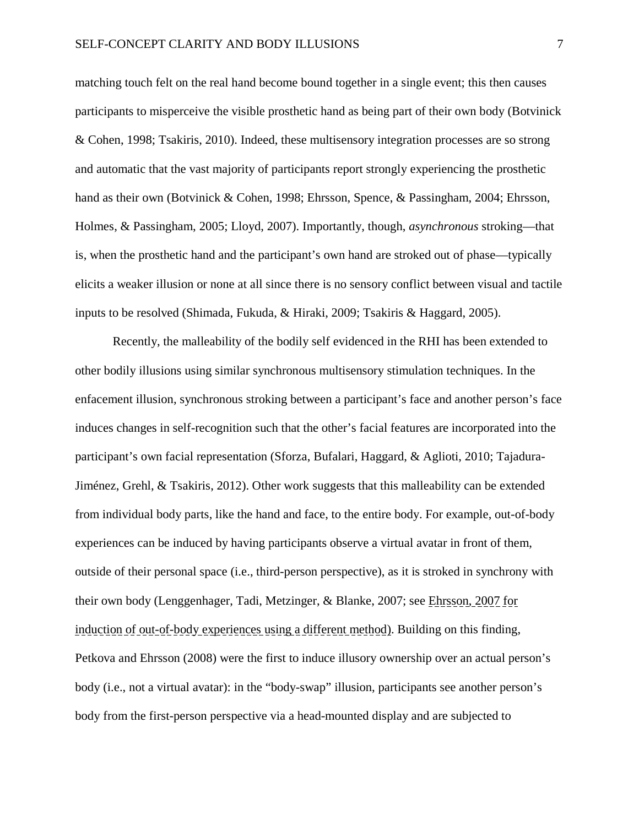matching touch felt on the real hand become bound together in a single event; this then causes participants to misperceive the visible prosthetic hand as being part of their own body (Botvinick & Cohen, 1998; Tsakiris, 2010). Indeed, these multisensory integration processes are so strong and automatic that the vast majority of participants report strongly experiencing the prosthetic hand as their own (Botvinick & Cohen, 1998; Ehrsson, Spence, & Passingham, 2004; Ehrsson, Holmes, & Passingham, 2005; Lloyd, 2007). Importantly, though, *asynchronous* stroking—that is, when the prosthetic hand and the participant's own hand are stroked out of phase—typically elicits a weaker illusion or none at all since there is no sensory conflict between visual and tactile inputs to be resolved (Shimada, Fukuda, & Hiraki, 2009; Tsakiris & Haggard, 2005).

Recently, the malleability of the bodily self evidenced in the RHI has been extended to other bodily illusions using similar synchronous multisensory stimulation techniques. In the enfacement illusion, synchronous stroking between a participant's face and another person's face induces changes in self-recognition such that the other's facial features are incorporated into the participant's own facial representation (Sforza, Bufalari, Haggard, & Aglioti, 2010; Tajadura-Jiménez, Grehl, & Tsakiris, 2012). Other work suggests that this malleability can be extended from individual body parts, like the hand and face, to the entire body. For example, out-of-body experiences can be induced by having participants observe a virtual avatar in front of them, outside of their personal space (i.e., third-person perspective), as it is stroked in synchrony with their own body (Lenggenhager, Tadi, Metzinger, & Blanke, 2007; see Ehrsson, 2007 for induction of out-of-body experiences using a different method). Building on this finding, Petkova and Ehrsson (2008) were the first to induce illusory ownership over an actual person's body (i.e., not a virtual avatar): in the "body-swap" illusion, participants see another person's body from the first-person perspective via a head-mounted display and are subjected to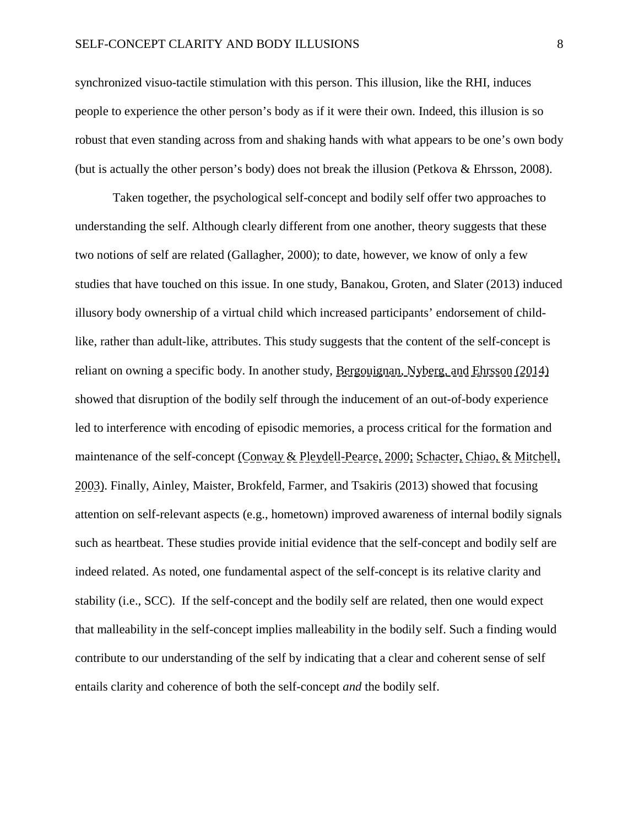synchronized visuo-tactile stimulation with this person. This illusion, like the RHI, induces people to experience the other person's body as if it were their own. Indeed, this illusion is so robust that even standing across from and shaking hands with what appears to be one's own body (but is actually the other person's body) does not break the illusion (Petkova & Ehrsson, 2008).

Taken together, the psychological self-concept and bodily self offer two approaches to understanding the self. Although clearly different from one another, theory suggests that these two notions of self are related (Gallagher, 2000); to date, however, we know of only a few studies that have touched on this issue. In one study, Banakou, Groten, and Slater (2013) induced illusory body ownership of a virtual child which increased participants' endorsement of childlike, rather than adult-like, attributes. This study suggests that the content of the self-concept is reliant on owning a specific body. In another study, Bergouignan, Nyberg, and Ehrsson (2014) showed that disruption of the bodily self through the inducement of an out-of-body experience led to interference with encoding of episodic memories, a process critical for the formation and maintenance of the self-concept (Conway & Pleydell-Pearce, 2000; Schacter, Chiao, & Mitchell, 2003). Finally, Ainley, Maister, Brokfeld, Farmer, and Tsakiris (2013) showed that focusing attention on self-relevant aspects (e.g., hometown) improved awareness of internal bodily signals such as heartbeat. These studies provide initial evidence that the self-concept and bodily self are indeed related. As noted, one fundamental aspect of the self-concept is its relative clarity and stability (i.e., SCC). If the self-concept and the bodily self are related, then one would expect that malleability in the self-concept implies malleability in the bodily self. Such a finding would contribute to our understanding of the self by indicating that a clear and coherent sense of self entails clarity and coherence of both the self-concept *and* the bodily self.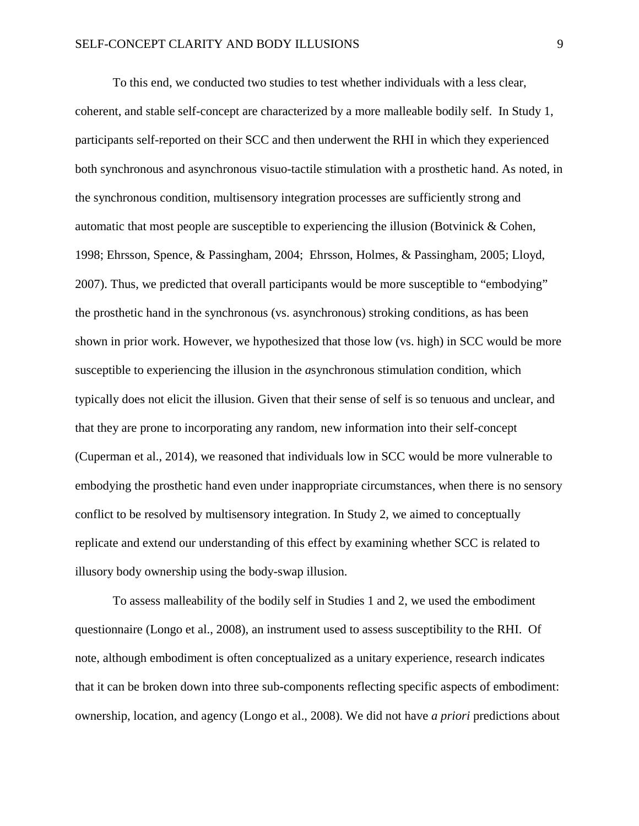To this end, we conducted two studies to test whether individuals with a less clear, coherent, and stable self-concept are characterized by a more malleable bodily self. In Study 1, participants self-reported on their SCC and then underwent the RHI in which they experienced both synchronous and asynchronous visuo-tactile stimulation with a prosthetic hand. As noted, in the synchronous condition, multisensory integration processes are sufficiently strong and automatic that most people are susceptible to experiencing the illusion (Botvinick  $\&$  Cohen, 1998; Ehrsson, Spence, & Passingham, 2004; Ehrsson, Holmes, & Passingham, 2005; Lloyd, 2007). Thus, we predicted that overall participants would be more susceptible to "embodying" the prosthetic hand in the synchronous (vs. asynchronous) stroking conditions, as has been shown in prior work. However, we hypothesized that those low (vs. high) in SCC would be more susceptible to experiencing the illusion in the *a*synchronous stimulation condition, which typically does not elicit the illusion. Given that their sense of self is so tenuous and unclear, and that they are prone to incorporating any random, new information into their self-concept (Cuperman et al., 2014), we reasoned that individuals low in SCC would be more vulnerable to embodying the prosthetic hand even under inappropriate circumstances, when there is no sensory conflict to be resolved by multisensory integration. In Study 2, we aimed to conceptually replicate and extend our understanding of this effect by examining whether SCC is related to illusory body ownership using the body-swap illusion.

To assess malleability of the bodily self in Studies 1 and 2, we used the embodiment questionnaire (Longo et al., 2008), an instrument used to assess susceptibility to the RHI. Of note, although embodiment is often conceptualized as a unitary experience, research indicates that it can be broken down into three sub-components reflecting specific aspects of embodiment: ownership, location, and agency (Longo et al., 2008). We did not have *a priori* predictions about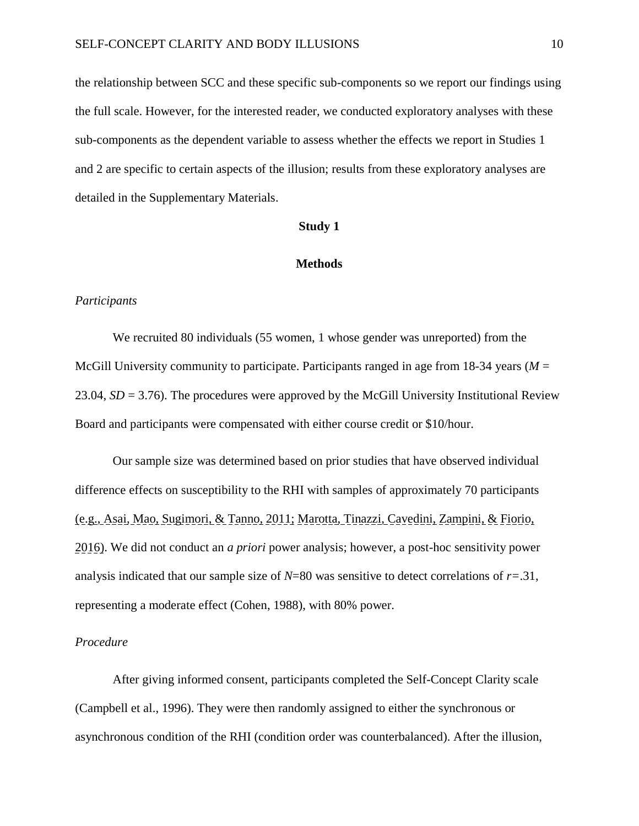the relationship between SCC and these specific sub-components so we report our findings using the full scale. However, for the interested reader, we conducted exploratory analyses with these sub-components as the dependent variable to assess whether the effects we report in Studies 1 and 2 are specific to certain aspects of the illusion; results from these exploratory analyses are detailed in the Supplementary Materials.

## **Study 1**

#### **Methods**

#### *Participants*

We recruited 80 individuals (55 women, 1 whose gender was unreported) from the McGill University community to participate. Participants ranged in age from 18-34 years (*M* = 23.04, *SD* = 3.76). The procedures were approved by the McGill University Institutional Review Board and participants were compensated with either course credit or \$10/hour.

Our sample size was determined based on prior studies that have observed individual difference effects on susceptibility to the RHI with samples of approximately 70 participants (e.g., Asai, Mao, Sugimori, & Tanno, 2011; Marotta, Tinazzi, Cavedini, Zampini, & Fiorio, 2016). We did not conduct an *a priori* power analysis; however, a post-hoc sensitivity power analysis indicated that our sample size of *N*=80 was sensitive to detect correlations of *r=*.31, representing a moderate effect (Cohen, 1988), with 80% power.

#### *Procedure*

After giving informed consent, participants completed the Self-Concept Clarity scale (Campbell et al., 1996). They were then randomly assigned to either the synchronous or asynchronous condition of the RHI (condition order was counterbalanced). After the illusion,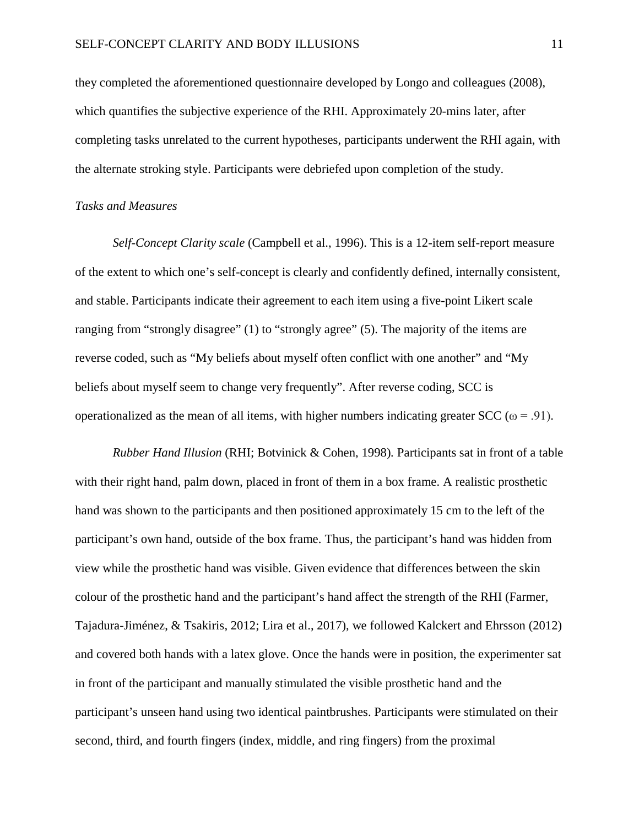they completed the aforementioned questionnaire developed by Longo and colleagues (2008), which quantifies the subjective experience of the RHI. Approximately 20-mins later, after completing tasks unrelated to the current hypotheses, participants underwent the RHI again, with the alternate stroking style. Participants were debriefed upon completion of the study.

#### *Tasks and Measures*

*Self-Concept Clarity scale* (Campbell et al., 1996). This is a 12-item self-report measure of the extent to which one's self-concept is clearly and confidently defined, internally consistent, and stable. Participants indicate their agreement to each item using a five-point Likert scale ranging from "strongly disagree" (1) to "strongly agree" (5). The majority of the items are reverse coded, such as "My beliefs about myself often conflict with one another" and "My beliefs about myself seem to change very frequently". After reverse coding, SCC is operationalized as the mean of all items, with higher numbers indicating greater SCC ( $\omega = .91$ ).

*Rubber Hand Illusion* (RHI; Botvinick & Cohen, 1998)*.* Participants sat in front of a table with their right hand, palm down, placed in front of them in a box frame. A realistic prosthetic hand was shown to the participants and then positioned approximately 15 cm to the left of the participant's own hand, outside of the box frame. Thus, the participant's hand was hidden from view while the prosthetic hand was visible. Given evidence that differences between the skin colour of the prosthetic hand and the participant's hand affect the strength of the RHI (Farmer, Tajadura-Jiménez, & Tsakiris, 2012; Lira et al., 2017), we followed Kalckert and Ehrsson (2012) and covered both hands with a latex glove. Once the hands were in position, the experimenter sat in front of the participant and manually stimulated the visible prosthetic hand and the participant's unseen hand using two identical paintbrushes. Participants were stimulated on their second, third, and fourth fingers (index, middle, and ring fingers) from the proximal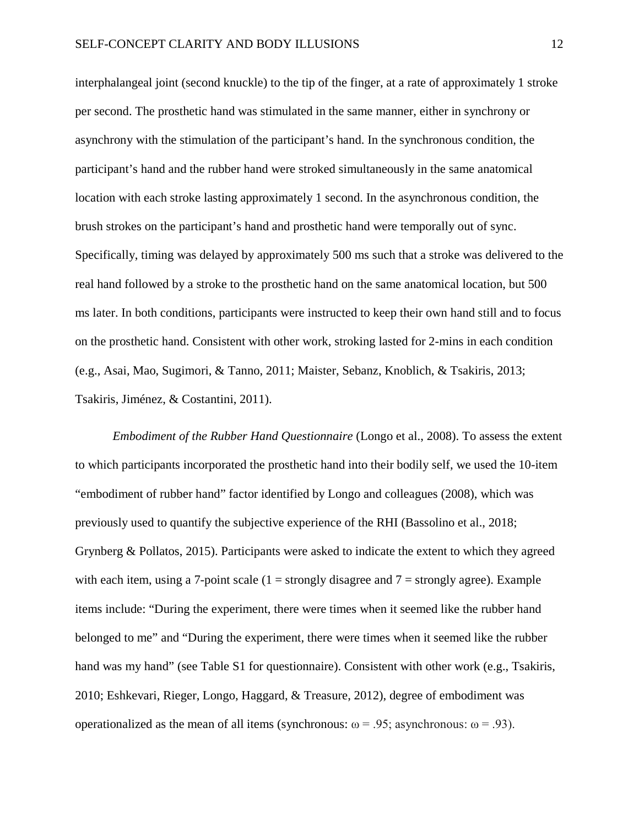interphalangeal joint (second knuckle) to the tip of the finger, at a rate of approximately 1 stroke per second. The prosthetic hand was stimulated in the same manner, either in synchrony or asynchrony with the stimulation of the participant's hand. In the synchronous condition, the participant's hand and the rubber hand were stroked simultaneously in the same anatomical location with each stroke lasting approximately 1 second. In the asynchronous condition, the brush strokes on the participant's hand and prosthetic hand were temporally out of sync. Specifically, timing was delayed by approximately 500 ms such that a stroke was delivered to the real hand followed by a stroke to the prosthetic hand on the same anatomical location, but 500 ms later. In both conditions, participants were instructed to keep their own hand still and to focus on the prosthetic hand. Consistent with other work, stroking lasted for 2-mins in each condition (e.g., Asai, Mao, Sugimori, & Tanno, 2011; Maister, Sebanz, Knoblich, & Tsakiris, 2013; Tsakiris, Jiménez, & Costantini, 2011).

*Embodiment of the Rubber Hand Questionnaire* (Longo et al., 2008). To assess the extent to which participants incorporated the prosthetic hand into their bodily self, we used the 10-item "embodiment of rubber hand" factor identified by Longo and colleagues (2008), which was previously used to quantify the subjective experience of the RHI (Bassolino et al., 2018; Grynberg & Pollatos, 2015). Participants were asked to indicate the extent to which they agreed with each item, using a 7-point scale  $(1 =$  strongly disagree and  $7 =$  strongly agree). Example items include: "During the experiment, there were times when it seemed like the rubber hand belonged to me" and "During the experiment, there were times when it seemed like the rubber hand was my hand" (see Table S1 for questionnaire). Consistent with other work (e.g., Tsakiris, 2010; Eshkevari, Rieger, Longo, Haggard, & Treasure, 2012), degree of embodiment was operationalized as the mean of all items (synchronous:  $\omega = .95$ ; asynchronous:  $\omega = .93$ ).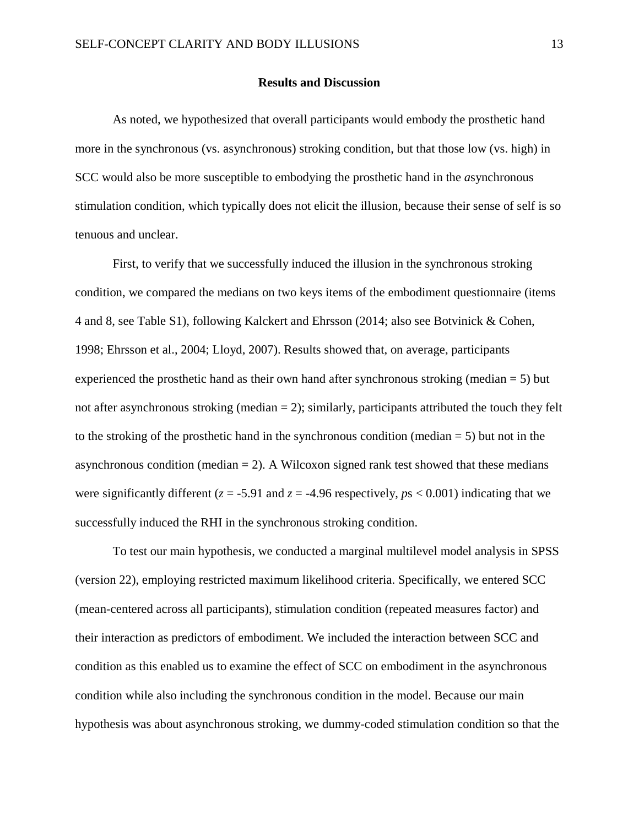#### **Results and Discussion**

As noted, we hypothesized that overall participants would embody the prosthetic hand more in the synchronous (vs. asynchronous) stroking condition, but that those low (vs. high) in SCC would also be more susceptible to embodying the prosthetic hand in the *a*synchronous stimulation condition, which typically does not elicit the illusion, because their sense of self is so tenuous and unclear.

First, to verify that we successfully induced the illusion in the synchronous stroking condition, we compared the medians on two keys items of the embodiment questionnaire (items 4 and 8, see Table S1), following Kalckert and Ehrsson (2014; also see Botvinick & Cohen, 1998; Ehrsson et al., 2004; Lloyd, 2007). Results showed that, on average, participants experienced the prosthetic hand as their own hand after synchronous stroking (median  $= 5$ ) but not after asynchronous stroking (median  $= 2$ ); similarly, participants attributed the touch they felt to the stroking of the prosthetic hand in the synchronous condition (median  $= 5$ ) but not in the asynchronous condition (median  $= 2$ ). A Wilcoxon signed rank test showed that these medians were significantly different ( $z = -5.91$  and  $z = -4.96$  respectively,  $p_s < 0.001$ ) indicating that we successfully induced the RHI in the synchronous stroking condition.

To test our main hypothesis, we conducted a marginal multilevel model analysis in SPSS (version 22), employing restricted maximum likelihood criteria. Specifically, we entered SCC (mean-centered across all participants), stimulation condition (repeated measures factor) and their interaction as predictors of embodiment. We included the interaction between SCC and condition as this enabled us to examine the effect of SCC on embodiment in the asynchronous condition while also including the synchronous condition in the model. Because our main hypothesis was about asynchronous stroking, we dummy-coded stimulation condition so that the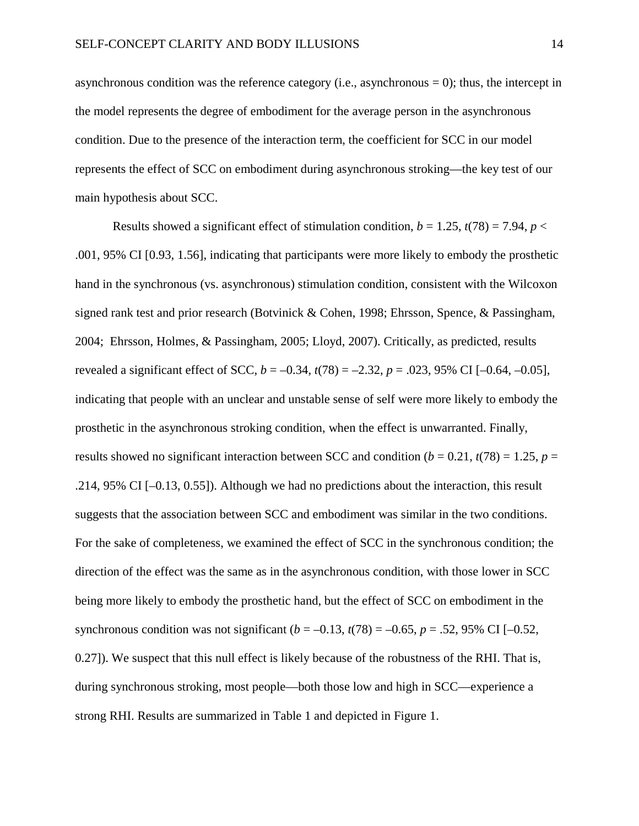asynchronous condition was the reference category (i.e., asynchronous  $= 0$ ); thus, the intercept in the model represents the degree of embodiment for the average person in the asynchronous condition. Due to the presence of the interaction term, the coefficient for SCC in our model represents the effect of SCC on embodiment during asynchronous stroking—the key test of our main hypothesis about SCC.

Results showed a significant effect of stimulation condition,  $b = 1.25$ ,  $t(78) = 7.94$ ,  $p <$ .001, 95% CI [0.93, 1.56], indicating that participants were more likely to embody the prosthetic hand in the synchronous (vs. asynchronous) stimulation condition, consistent with the Wilcoxon signed rank test and prior research (Botvinick & Cohen, 1998; Ehrsson, Spence, & Passingham, 2004; Ehrsson, Holmes, & Passingham, 2005; Lloyd, 2007). Critically, as predicted, results revealed a significant effect of SCC, *b* = –0.34, *t*(78) = –2.32, *p* = .023, 95% CI [–0.64, –0.05], indicating that people with an unclear and unstable sense of self were more likely to embody the prosthetic in the asynchronous stroking condition, when the effect is unwarranted. Finally, results showed no significant interaction between SCC and condition  $(b = 0.21, t(78) = 1.25, p =$ .214, 95% CI [–0.13, 0.55]). Although we had no predictions about the interaction, this result suggests that the association between SCC and embodiment was similar in the two conditions. For the sake of completeness, we examined the effect of SCC in the synchronous condition; the direction of the effect was the same as in the asynchronous condition, with those lower in SCC being more likely to embody the prosthetic hand, but the effect of SCC on embodiment in the synchronous condition was not significant  $(b = -0.13, t(78) = -0.65, p = .52, 95\% \text{ CI } [-0.52,$ 0.27]). We suspect that this null effect is likely because of the robustness of the RHI. That is, during synchronous stroking, most people—both those low and high in SCC—experience a strong RHI. Results are summarized in Table 1 and depicted in Figure 1.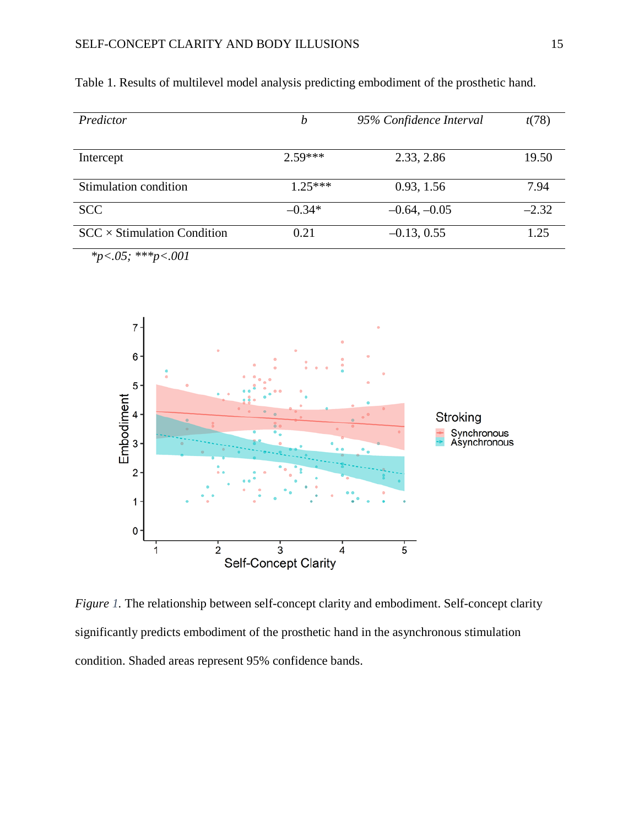| Predictor                          | b         | 95% Confidence Interval | t(78)   |
|------------------------------------|-----------|-------------------------|---------|
|                                    |           |                         |         |
| Intercept                          | $2.59***$ | 2.33, 2.86              | 19.50   |
|                                    |           |                         |         |
| Stimulation condition              | $1.25***$ | 0.93, 1.56              | 7.94    |
| <b>SCC</b>                         | $-0.34*$  | $-0.64, -0.05$          | $-2.32$ |
| $SCC \times Stimulation Condition$ | 0.21      | $-0.13, 0.55$           | 1.25    |

Table 1. Results of multilevel model analysis predicting embodiment of the prosthetic hand.

 *\*p<.05; \*\*\*p<.001*



*Figure 1*. The relationship between self-concept clarity and embodiment. Self-concept clarity significantly predicts embodiment of the prosthetic hand in the asynchronous stimulation condition. Shaded areas represent 95% confidence bands.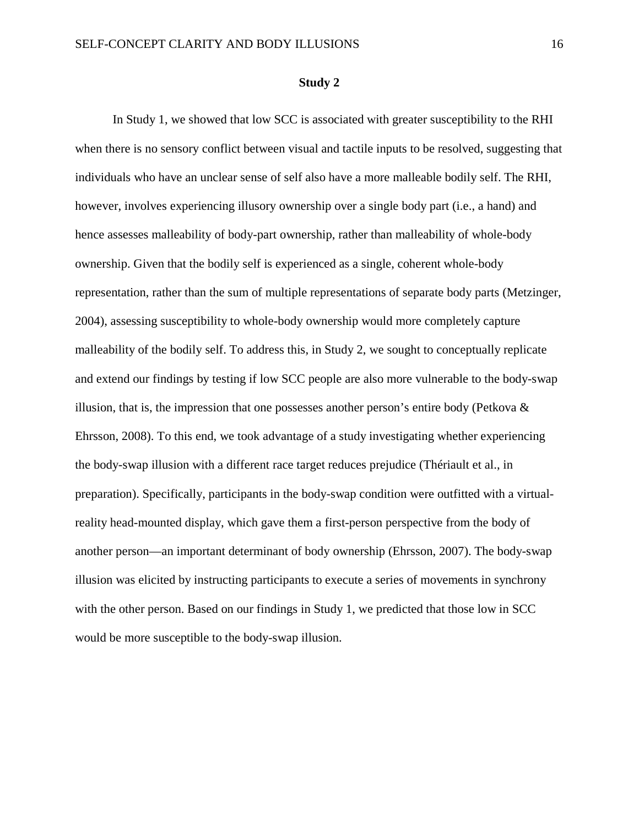#### **Study 2**

In Study 1, we showed that low SCC is associated with greater susceptibility to the RHI when there is no sensory conflict between visual and tactile inputs to be resolved, suggesting that individuals who have an unclear sense of self also have a more malleable bodily self. The RHI, however, involves experiencing illusory ownership over a single body part (i.e., a hand) and hence assesses malleability of body-part ownership, rather than malleability of whole-body ownership. Given that the bodily self is experienced as a single, coherent whole-body representation, rather than the sum of multiple representations of separate body parts (Metzinger, 2004), assessing susceptibility to whole-body ownership would more completely capture malleability of the bodily self. To address this, in Study 2, we sought to conceptually replicate and extend our findings by testing if low SCC people are also more vulnerable to the body-swap illusion, that is, the impression that one possesses another person's entire body (Petkova & Ehrsson, 2008). To this end, we took advantage of a study investigating whether experiencing the body-swap illusion with a different race target reduces prejudice (Thériault et al., in preparation). Specifically, participants in the body-swap condition were outfitted with a virtualreality head-mounted display, which gave them a first-person perspective from the body of another person—an important determinant of body ownership (Ehrsson, 2007). The body-swap illusion was elicited by instructing participants to execute a series of movements in synchrony with the other person. Based on our findings in Study 1, we predicted that those low in SCC would be more susceptible to the body-swap illusion.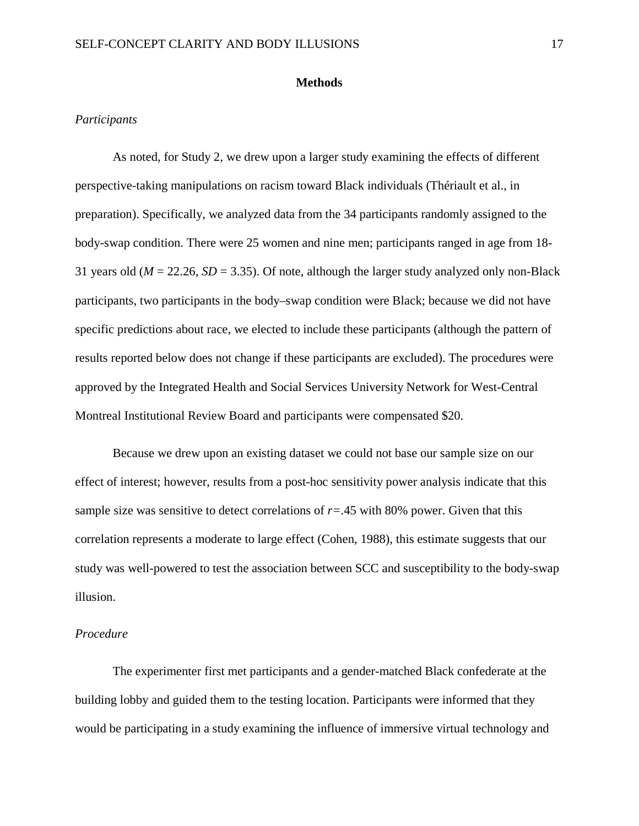#### **Methods**

#### *Participants*

As noted, for Study 2, we drew upon a larger study examining the effects of different perspective-taking manipulations on racism toward Black individuals (Thériault et al., in preparation). Specifically, we analyzed data from the 34 participants randomly assigned to the body-swap condition. There were 25 women and nine men; participants ranged in age from 18- 31 years old (*M* = 22.26, *SD* = 3.35). Of note, although the larger study analyzed only non-Black participants, two participants in the body–swap condition were Black; because we did not have specific predictions about race, we elected to include these participants (although the pattern of results reported below does not change if these participants are excluded). The procedures were approved by the Integrated Health and Social Services University Network for West-Central Montreal Institutional Review Board and participants were compensated \$20.

Because we drew upon an existing dataset we could not base our sample size on our effect of interest; however, results from a post-hoc sensitivity power analysis indicate that this sample size was sensitive to detect correlations of  $r = .45$  with 80% power. Given that this correlation represents a moderate to large effect (Cohen, 1988), this estimate suggests that our study was well-powered to test the association between SCC and susceptibility to the body-swap illusion.

#### *Procedure*

The experimenter first met participants and a gender-matched Black confederate at the building lobby and guided them to the testing location. Participants were informed that they would be participating in a study examining the influence of immersive virtual technology and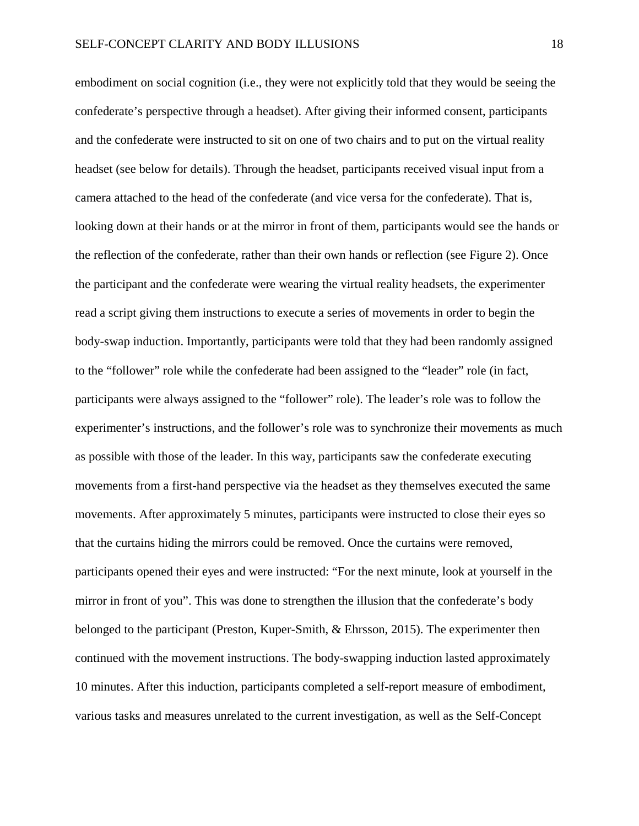embodiment on social cognition (i.e., they were not explicitly told that they would be seeing the confederate's perspective through a headset). After giving their informed consent, participants and the confederate were instructed to sit on one of two chairs and to put on the virtual reality headset (see below for details). Through the headset, participants received visual input from a camera attached to the head of the confederate (and vice versa for the confederate). That is, looking down at their hands or at the mirror in front of them, participants would see the hands or the reflection of the confederate, rather than their own hands or reflection (see Figure 2). Once the participant and the confederate were wearing the virtual reality headsets, the experimenter read a script giving them instructions to execute a series of movements in order to begin the body-swap induction. Importantly, participants were told that they had been randomly assigned to the "follower" role while the confederate had been assigned to the "leader" role (in fact, participants were always assigned to the "follower" role). The leader's role was to follow the experimenter's instructions, and the follower's role was to synchronize their movements as much as possible with those of the leader. In this way, participants saw the confederate executing movements from a first-hand perspective via the headset as they themselves executed the same movements. After approximately 5 minutes, participants were instructed to close their eyes so that the curtains hiding the mirrors could be removed. Once the curtains were removed, participants opened their eyes and were instructed: "For the next minute, look at yourself in the mirror in front of you". This was done to strengthen the illusion that the confederate's body belonged to the participant (Preston, Kuper-Smith, & Ehrsson, 2015). The experimenter then continued with the movement instructions. The body-swapping induction lasted approximately 10 minutes. After this induction, participants completed a self-report measure of embodiment, various tasks and measures unrelated to the current investigation, as well as the Self-Concept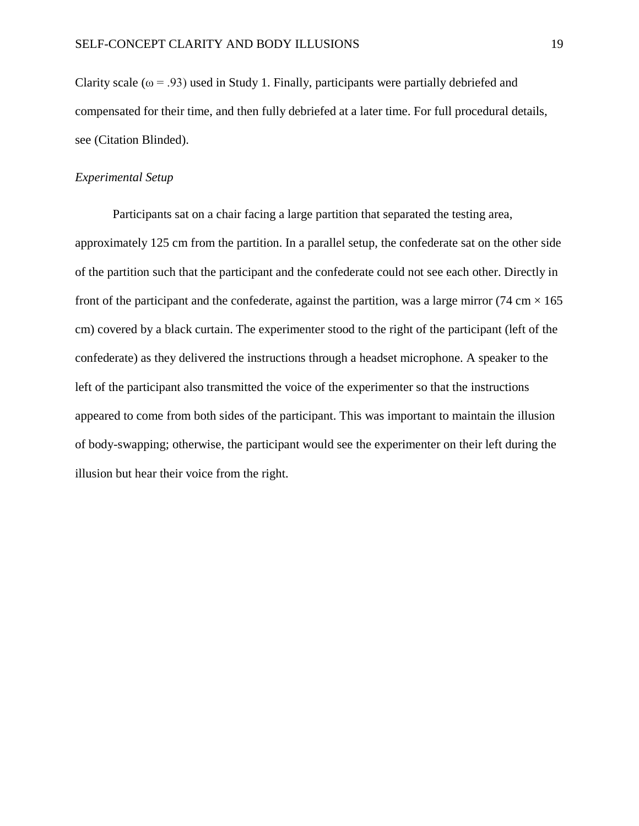Clarity scale ( $\omega$  = .93) used in Study 1. Finally, participants were partially debriefed and compensated for their time, and then fully debriefed at a later time. For full procedural details, see (Citation Blinded).

### *Experimental Setup*

Participants sat on a chair facing a large partition that separated the testing area, approximately 125 cm from the partition. In a parallel setup, the confederate sat on the other side of the partition such that the participant and the confederate could not see each other. Directly in front of the participant and the confederate, against the partition, was a large mirror (74 cm  $\times$  165 cm) covered by a black curtain. The experimenter stood to the right of the participant (left of the confederate) as they delivered the instructions through a headset microphone. A speaker to the left of the participant also transmitted the voice of the experimenter so that the instructions appeared to come from both sides of the participant. This was important to maintain the illusion of body-swapping; otherwise, the participant would see the experimenter on their left during the illusion but hear their voice from the right.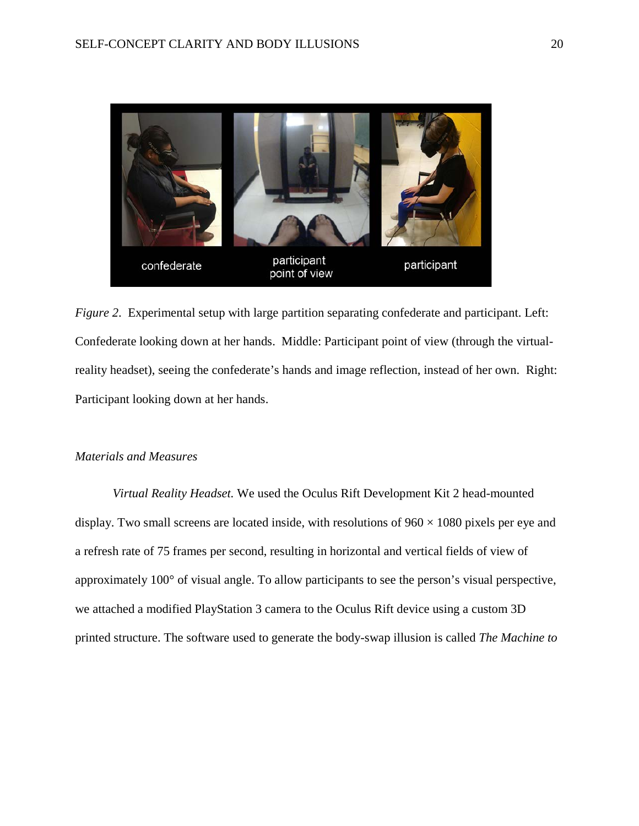

*Figure 2*. Experimental setup with large partition separating confederate and participant. Left: Confederate looking down at her hands. Middle: Participant point of view (through the virtualreality headset), seeing the confederate's hands and image reflection, instead of her own. Right: Participant looking down at her hands.

# *Materials and Measures*

*Virtual Reality Headset.* We used the Oculus Rift Development Kit 2 head-mounted display. Two small screens are located inside, with resolutions of  $960 \times 1080$  pixels per eye and a refresh rate of 75 frames per second, resulting in horizontal and vertical fields of view of approximately 100° of visual angle. To allow participants to see the person's visual perspective, we attached a modified PlayStation 3 camera to the Oculus Rift device using a custom 3D printed structure. The software used to generate the body-swap illusion is called *The Machine to*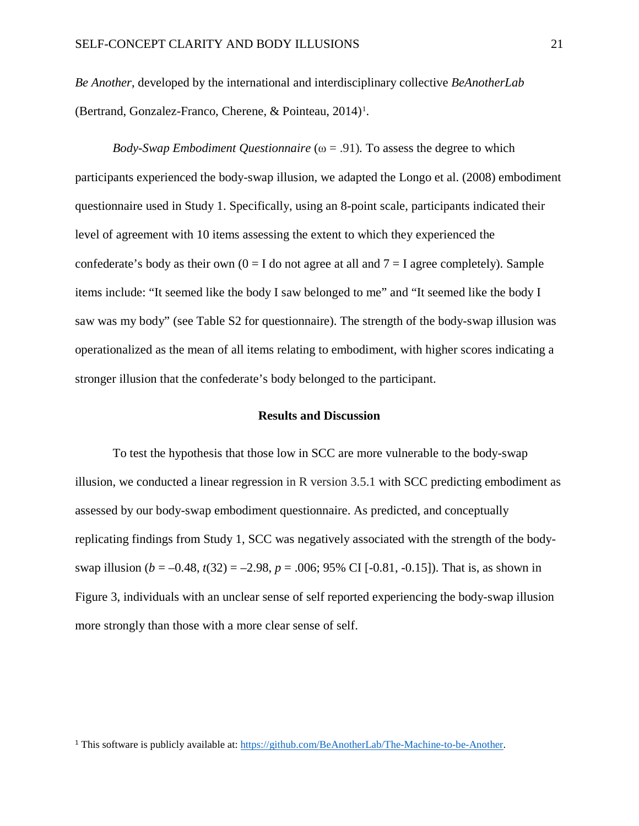*Be Another*, developed by the international and interdisciplinary collective *BeAnotherLab* (Bertrand, Gonzalez-Franco, Cherene, & Pointeau, 20[1](#page-22-0)4)<sup>1</sup>.

*Body-Swap Embodiment Questionnaire* ( $\omega$  = .91). To assess the degree to which participants experienced the body-swap illusion, we adapted the Longo et al. (2008) embodiment questionnaire used in Study 1. Specifically, using an 8-point scale, participants indicated their level of agreement with 10 items assessing the extent to which they experienced the confederate's body as their own  $(0 = I$  do not agree at all and  $7 = I$  agree completely). Sample items include: "It seemed like the body I saw belonged to me" and "It seemed like the body I saw was my body" (see Table S2 for questionnaire). The strength of the body-swap illusion was operationalized as the mean of all items relating to embodiment, with higher scores indicating a stronger illusion that the confederate's body belonged to the participant.

#### **Results and Discussion**

To test the hypothesis that those low in SCC are more vulnerable to the body-swap illusion, we conducted a linear regression in R version 3.5.1 with SCC predicting embodiment as assessed by our body-swap embodiment questionnaire. As predicted, and conceptually replicating findings from Study 1, SCC was negatively associated with the strength of the bodyswap illusion ( $b = -0.48$ ,  $t(32) = -2.98$ ,  $p = .006$ ; 95% CI [-0.81, -0.15]). That is, as shown in Figure 3, individuals with an unclear sense of self reported experiencing the body-swap illusion more strongly than those with a more clear sense of self.

<span id="page-22-0"></span><sup>1</sup> This software is publicly available at[: https://github.com/BeAnotherLab/The-Machine-to-be-Another.](https://github.com/BeAnotherLab/The-Machine-to-be-Another)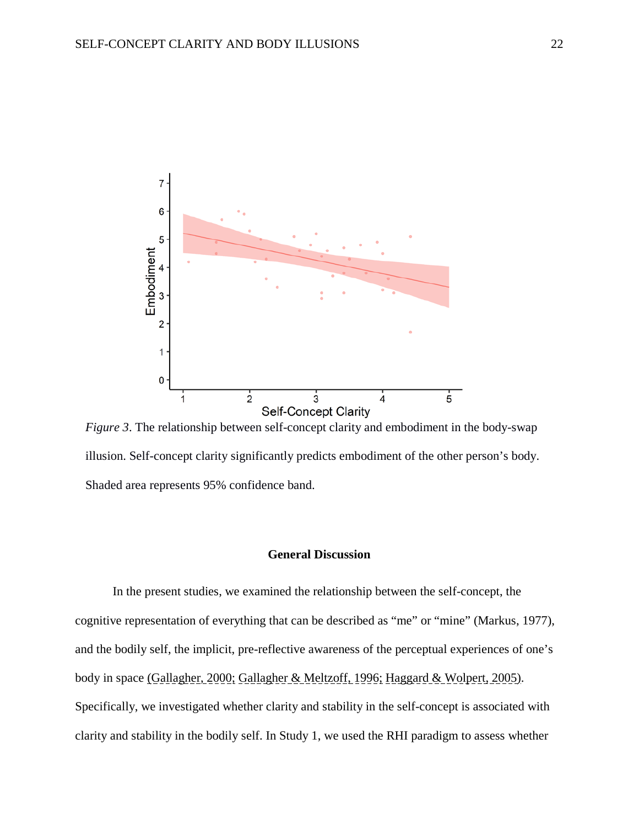

*Figure 3*. The relationship between self-concept clarity and embodiment in the body-swap illusion. Self-concept clarity significantly predicts embodiment of the other person's body. Shaded area represents 95% confidence band.

# **General Discussion**

In the present studies, we examined the relationship between the self-concept, the cognitive representation of everything that can be described as "me" or "mine" (Markus, 1977), and the bodily self, the implicit, pre-reflective awareness of the perceptual experiences of one's body in space (Gallagher, 2000; Gallagher & Meltzoff, 1996; Haggard & Wolpert, 2005). Specifically, we investigated whether clarity and stability in the self-concept is associated with clarity and stability in the bodily self. In Study 1, we used the RHI paradigm to assess whether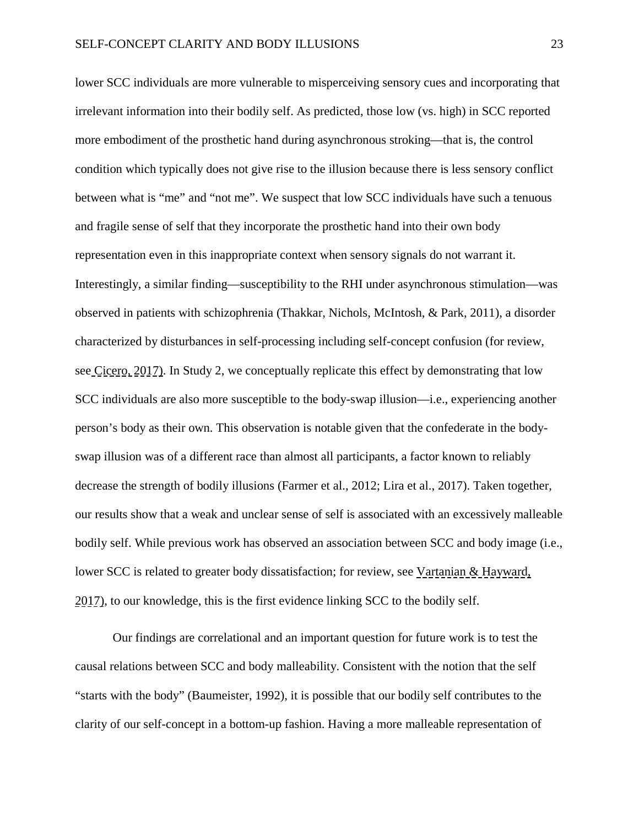lower SCC individuals are more vulnerable to misperceiving sensory cues and incorporating that irrelevant information into their bodily self. As predicted, those low (vs. high) in SCC reported more embodiment of the prosthetic hand during asynchronous stroking—that is, the control condition which typically does not give rise to the illusion because there is less sensory conflict between what is "me" and "not me". We suspect that low SCC individuals have such a tenuous and fragile sense of self that they incorporate the prosthetic hand into their own body representation even in this inappropriate context when sensory signals do not warrant it. Interestingly, a similar finding—susceptibility to the RHI under asynchronous stimulation—was observed in patients with schizophrenia (Thakkar, Nichols, McIntosh, & Park, 2011), a disorder characterized by disturbances in self-processing including self-concept confusion (for review, see Cicero, 2017). In Study 2, we conceptually replicate this effect by demonstrating that low SCC individuals are also more susceptible to the body-swap illusion—i.e., experiencing another person's body as their own. This observation is notable given that the confederate in the bodyswap illusion was of a different race than almost all participants, a factor known to reliably decrease the strength of bodily illusions (Farmer et al., 2012; Lira et al., 2017). Taken together, our results show that a weak and unclear sense of self is associated with an excessively malleable bodily self. While previous work has observed an association between SCC and body image (i.e., lower SCC is related to greater body dissatisfaction; for review, see Vartanian & Hayward, 2017), to our knowledge, this is the first evidence linking SCC to the bodily self.

Our findings are correlational and an important question for future work is to test the causal relations between SCC and body malleability. Consistent with the notion that the self "starts with the body" (Baumeister, 1992), it is possible that our bodily self contributes to the clarity of our self-concept in a bottom-up fashion. Having a more malleable representation of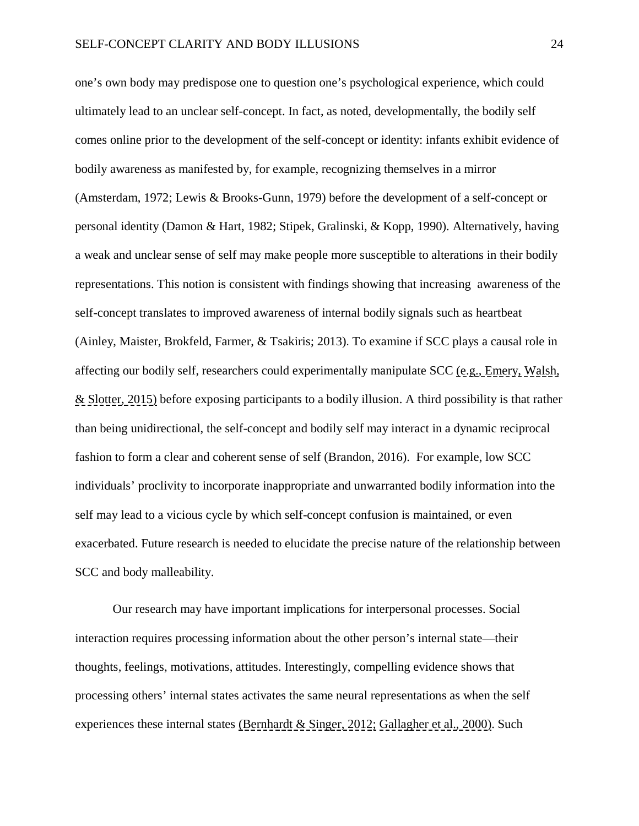one's own body may predispose one to question one's psychological experience, which could ultimately lead to an unclear self-concept. In fact, as noted, developmentally, the bodily self comes online prior to the development of the self-concept or identity: infants exhibit evidence of bodily awareness as manifested by, for example, recognizing themselves in a mirror (Amsterdam, 1972; Lewis & Brooks-Gunn, 1979) before the development of a self-concept or personal identity (Damon & Hart, 1982; Stipek, Gralinski, & Kopp, 1990). Alternatively, having a weak and unclear sense of self may make people more susceptible to alterations in their bodily representations. This notion is consistent with findings showing that increasing awareness of the self-concept translates to improved awareness of internal bodily signals such as heartbeat (Ainley, Maister, Brokfeld, Farmer, & Tsakiris; 2013). To examine if SCC plays a causal role in affecting our bodily self, researchers could experimentally manipulate SCC (e.g., Emery, Walsh, & Slotter, 2015) before exposing participants to a bodily illusion. A third possibility is that rather than being unidirectional, the self-concept and bodily self may interact in a dynamic reciprocal fashion to form a clear and coherent sense of self (Brandon, 2016). For example, low SCC individuals' proclivity to incorporate inappropriate and unwarranted bodily information into the self may lead to a vicious cycle by which self-concept confusion is maintained, or even exacerbated. Future research is needed to elucidate the precise nature of the relationship between SCC and body malleability.

Our research may have important implications for interpersonal processes. Social interaction requires processing information about the other person's internal state—their thoughts, feelings, motivations, attitudes. Interestingly, compelling evidence shows that processing others' internal states activates the same neural representations as when the self experiences these internal states (Bernhardt & Singer, 2012; Gallagher et al., 2000). Such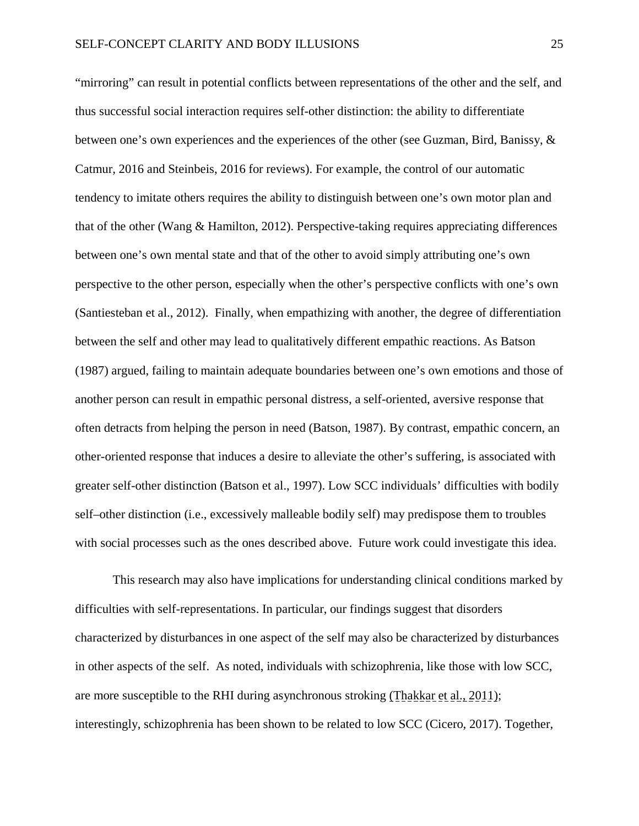"mirroring" can result in potential conflicts between representations of the other and the self, and thus successful social interaction requires self-other distinction: the ability to differentiate between one's own experiences and the experiences of the other (see Guzman, Bird, Banissy, & Catmur, 2016 and Steinbeis, 2016 for reviews). For example, the control of our automatic tendency to imitate others requires the ability to distinguish between one's own motor plan and that of the other (Wang & Hamilton, 2012). Perspective-taking requires appreciating differences between one's own mental state and that of the other to avoid simply attributing one's own perspective to the other person, especially when the other's perspective conflicts with one's own (Santiesteban et al., 2012). Finally, when empathizing with another, the degree of differentiation between the self and other may lead to qualitatively different empathic reactions. As Batson (1987) argued, failing to maintain adequate boundaries between one's own emotions and those of another person can result in empathic personal distress, a self-oriented, aversive response that often detracts from helping the person in need (Batson, 1987). By contrast, empathic concern, an other-oriented response that induces a desire to alleviate the other's suffering, is associated with greater self-other distinction (Batson et al., 1997). Low SCC individuals' difficulties with bodily self–other distinction (i.e., excessively malleable bodily self) may predispose them to troubles with social processes such as the ones described above. Future work could investigate this idea.

This research may also have implications for understanding clinical conditions marked by difficulties with self-representations. In particular, our findings suggest that disorders characterized by disturbances in one aspect of the self may also be characterized by disturbances in other aspects of the self. As noted, individuals with schizophrenia, like those with low SCC, are more susceptible to the RHI during asynchronous stroking (Thakkar et al., 2011); interestingly, schizophrenia has been shown to be related to low SCC (Cicero, 2017). Together,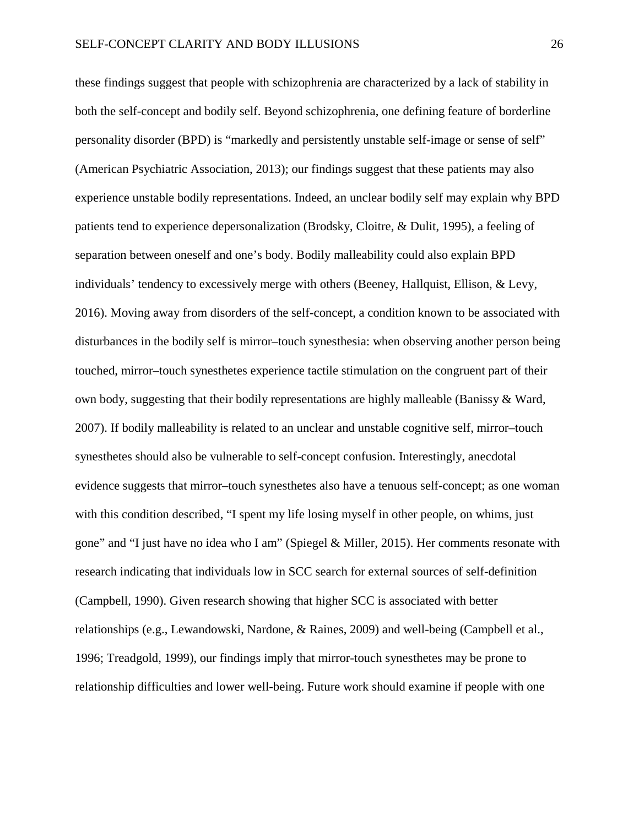these findings suggest that people with schizophrenia are characterized by a lack of stability in both the self-concept and bodily self. Beyond schizophrenia, one defining feature of borderline personality disorder (BPD) is "markedly and persistently unstable self-image or sense of self" (American Psychiatric Association, 2013); our findings suggest that these patients may also experience unstable bodily representations. Indeed, an unclear bodily self may explain why BPD patients tend to experience depersonalization (Brodsky, Cloitre, & Dulit, 1995), a feeling of separation between oneself and one's body. Bodily malleability could also explain BPD individuals' tendency to excessively merge with others (Beeney, Hallquist, Ellison, & Levy, 2016). Moving away from disorders of the self-concept, a condition known to be associated with disturbances in the bodily self is mirror–touch synesthesia: when observing another person being touched, mirror–touch synesthetes experience tactile stimulation on the congruent part of their own body, suggesting that their bodily representations are highly malleable (Banissy & Ward, 2007). If bodily malleability is related to an unclear and unstable cognitive self, mirror–touch synesthetes should also be vulnerable to self-concept confusion. Interestingly, anecdotal evidence suggests that mirror–touch synesthetes also have a tenuous self-concept; as one woman with this condition described, "I spent my life losing myself in other people, on whims, just gone" and "I just have no idea who I am" (Spiegel & Miller, 2015). Her comments resonate with research indicating that individuals low in SCC search for external sources of self-definition (Campbell, 1990). Given research showing that higher SCC is associated with better relationships (e.g., Lewandowski, Nardone, & Raines, 2009) and well-being (Campbell et al., 1996; Treadgold, 1999), our findings imply that mirror-touch synesthetes may be prone to relationship difficulties and lower well-being. Future work should examine if people with one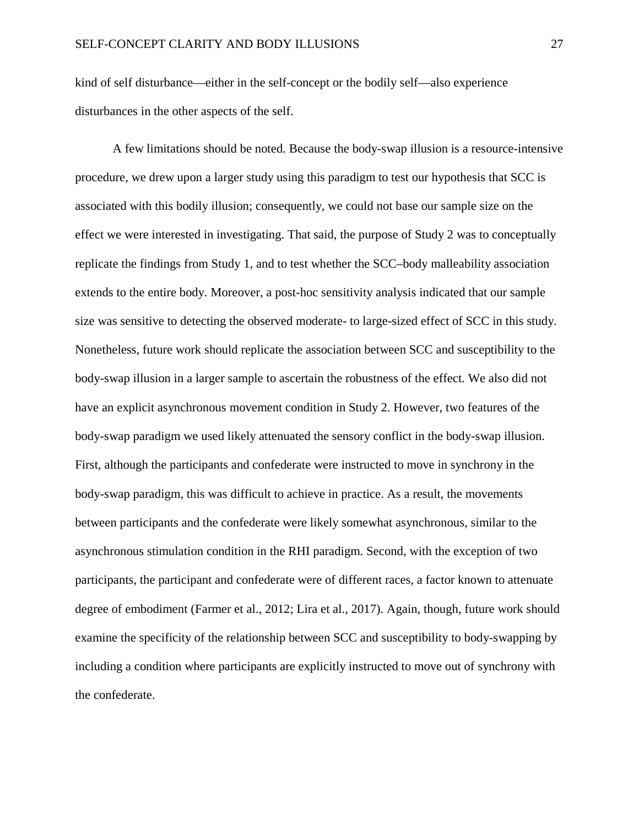kind of self disturbance—either in the self-concept or the bodily self—also experience disturbances in the other aspects of the self.

A few limitations should be noted. Because the body-swap illusion is a resource-intensive procedure, we drew upon a larger study using this paradigm to test our hypothesis that SCC is associated with this bodily illusion; consequently, we could not base our sample size on the effect we were interested in investigating. That said, the purpose of Study 2 was to conceptually replicate the findings from Study 1, and to test whether the SCC–body malleability association extends to the entire body. Moreover, a post-hoc sensitivity analysis indicated that our sample size was sensitive to detecting the observed moderate- to large-sized effect of SCC in this study. Nonetheless, future work should replicate the association between SCC and susceptibility to the body-swap illusion in a larger sample to ascertain the robustness of the effect. We also did not have an explicit asynchronous movement condition in Study 2. However, two features of the body-swap paradigm we used likely attenuated the sensory conflict in the body-swap illusion. First, although the participants and confederate were instructed to move in synchrony in the body-swap paradigm, this was difficult to achieve in practice. As a result, the movements between participants and the confederate were likely somewhat asynchronous, similar to the asynchronous stimulation condition in the RHI paradigm. Second, with the exception of two participants, the participant and confederate were of different races, a factor known to attenuate degree of embodiment (Farmer et al., 2012; Lira et al., 2017). Again, though, future work should examine the specificity of the relationship between SCC and susceptibility to body-swapping by including a condition where participants are explicitly instructed to move out of synchrony with the confederate.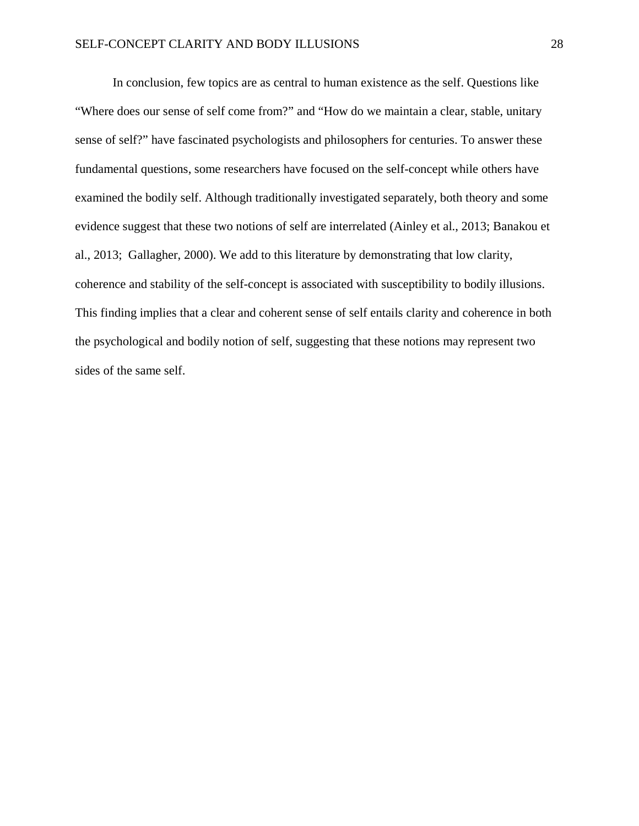In conclusion, few topics are as central to human existence as the self. Questions like "Where does our sense of self come from?" and "How do we maintain a clear, stable, unitary sense of self?" have fascinated psychologists and philosophers for centuries. To answer these fundamental questions, some researchers have focused on the self-concept while others have examined the bodily self. Although traditionally investigated separately, both theory and some evidence suggest that these two notions of self are interrelated (Ainley et al., 2013; Banakou et al., 2013; Gallagher, 2000). We add to this literature by demonstrating that low clarity, coherence and stability of the self-concept is associated with susceptibility to bodily illusions. This finding implies that a clear and coherent sense of self entails clarity and coherence in both the psychological and bodily notion of self, suggesting that these notions may represent two sides of the same self.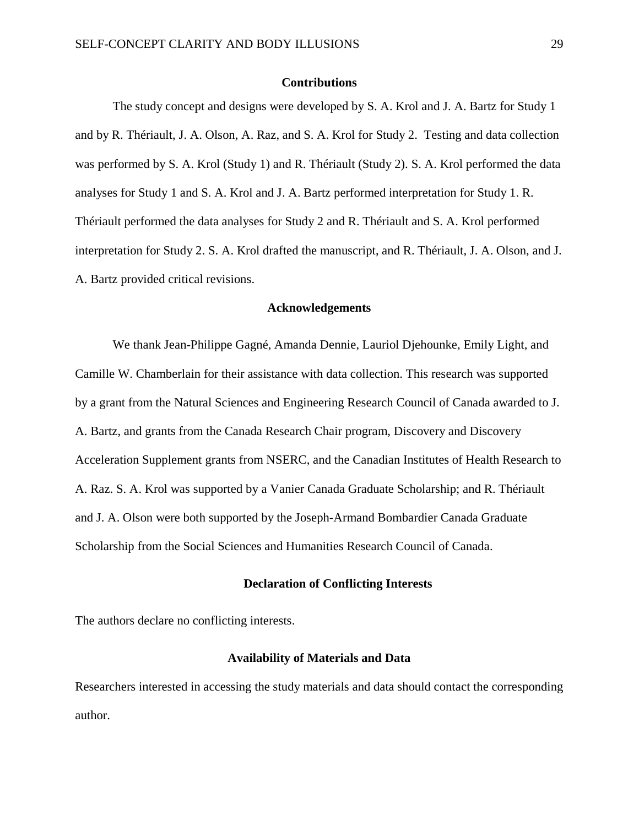#### **Contributions**

The study concept and designs were developed by S. A. Krol and J. A. Bartz for Study 1 and by R. Thériault, J. A. Olson, A. Raz, and S. A. Krol for Study 2. Testing and data collection was performed by S. A. Krol (Study 1) and R. Thériault (Study 2). S. A. Krol performed the data analyses for Study 1 and S. A. Krol and J. A. Bartz performed interpretation for Study 1. R. Thériault performed the data analyses for Study 2 and R. Thériault and S. A. Krol performed interpretation for Study 2. S. A. Krol drafted the manuscript, and R. Thériault, J. A. Olson, and J. A. Bartz provided critical revisions.

#### **Acknowledgements**

We thank Jean-Philippe Gagné, Amanda Dennie, Lauriol Djehounke, Emily Light, and Camille W. Chamberlain for their assistance with data collection. This research was supported by a grant from the Natural Sciences and Engineering Research Council of Canada awarded to J. A. Bartz, and grants from the Canada Research Chair program, Discovery and Discovery Acceleration Supplement grants from NSERC, and the Canadian Institutes of Health Research to A. Raz. S. A. Krol was supported by a Vanier Canada Graduate Scholarship; and R. Thériault and J. A. Olson were both supported by the Joseph-Armand Bombardier Canada Graduate Scholarship from the Social Sciences and Humanities Research Council of Canada.

#### **Declaration of Conflicting Interests**

The authors declare no conflicting interests.

#### **Availability of Materials and Data**

Researchers interested in accessing the study materials and data should contact the corresponding author.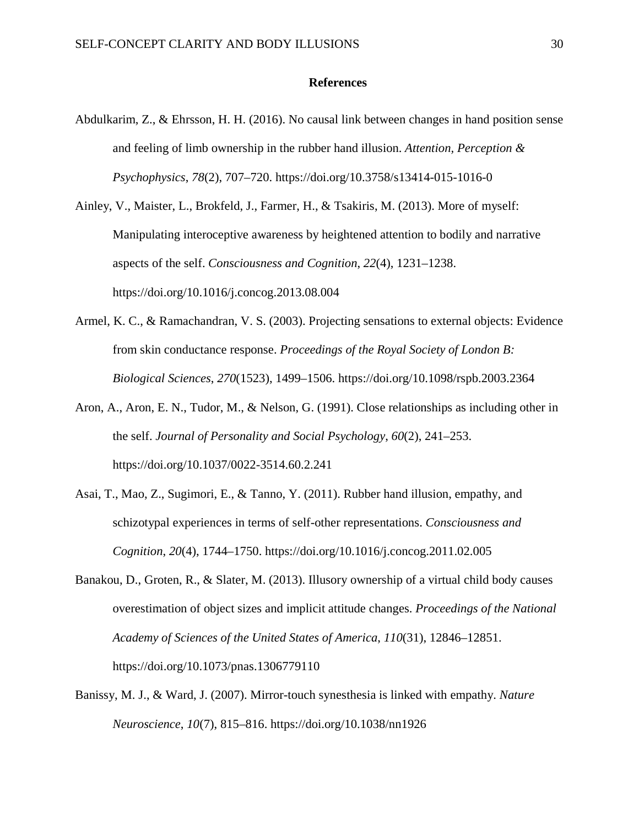### **References**

Abdulkarim, Z., & Ehrsson, H. H. (2016). No causal link between changes in hand position sense and feeling of limb ownership in the rubber hand illusion. *Attention, Perception & Psychophysics*, *78*(2), 707–720. https://doi.org/10.3758/s13414-015-1016-0

Ainley, V., Maister, L., Brokfeld, J., Farmer, H., & Tsakiris, M. (2013). More of myself: Manipulating interoceptive awareness by heightened attention to bodily and narrative aspects of the self. *Consciousness and Cognition*, *22*(4), 1231–1238. https://doi.org/10.1016/j.concog.2013.08.004

- Armel, K. C., & Ramachandran, V. S. (2003). Projecting sensations to external objects: Evidence from skin conductance response. *Proceedings of the Royal Society of London B: Biological Sciences*, *270*(1523), 1499–1506. https://doi.org/10.1098/rspb.2003.2364
- Aron, A., Aron, E. N., Tudor, M., & Nelson, G. (1991). Close relationships as including other in the self. *Journal of Personality and Social Psychology*, *60*(2), 241–253. https://doi.org/10.1037/0022-3514.60.2.241
- Asai, T., Mao, Z., Sugimori, E., & Tanno, Y. (2011). Rubber hand illusion, empathy, and schizotypal experiences in terms of self-other representations. *Consciousness and Cognition*, *20*(4), 1744–1750. https://doi.org/10.1016/j.concog.2011.02.005
- Banakou, D., Groten, R., & Slater, M. (2013). Illusory ownership of a virtual child body causes overestimation of object sizes and implicit attitude changes. *Proceedings of the National Academy of Sciences of the United States of America*, *110*(31), 12846–12851. https://doi.org/10.1073/pnas.1306779110
- Banissy, M. J., & Ward, J. (2007). Mirror-touch synesthesia is linked with empathy. *Nature Neuroscience*, *10*(7), 815–816. https://doi.org/10.1038/nn1926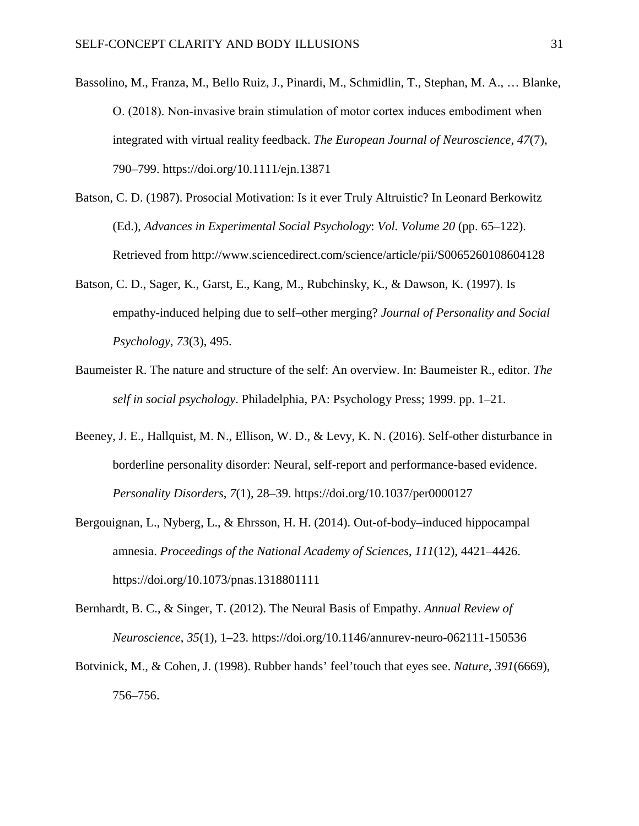- Bassolino, M., Franza, M., Bello Ruiz, J., Pinardi, M., Schmidlin, T., Stephan, M. A., … Blanke, O. (2018). Non‐invasive brain stimulation of motor cortex induces embodiment when integrated with virtual reality feedback. *The European Journal of Neuroscience*, *47*(7), 790–799. https://doi.org/10.1111/ejn.13871
- Batson, C. D. (1987). Prosocial Motivation: Is it ever Truly Altruistic? In Leonard Berkowitz (Ed.), *Advances in Experimental Social Psychology*: *Vol. Volume 20* (pp. 65–122). Retrieved from http://www.sciencedirect.com/science/article/pii/S0065260108604128
- Batson, C. D., Sager, K., Garst, E., Kang, M., Rubchinsky, K., & Dawson, K. (1997). Is empathy-induced helping due to self–other merging? *Journal of Personality and Social Psychology*, *73*(3), 495.
- Baumeister R. The nature and structure of the self: An overview. In: Baumeister R., editor. *The self in social psychology*. Philadelphia, PA: Psychology Press; 1999. pp. 1–21.
- Beeney, J. E., Hallquist, M. N., Ellison, W. D., & Levy, K. N. (2016). Self-other disturbance in borderline personality disorder: Neural, self-report and performance-based evidence. *Personality Disorders*, *7*(1), 28–39. https://doi.org/10.1037/per0000127
- Bergouignan, L., Nyberg, L., & Ehrsson, H. H. (2014). Out-of-body–induced hippocampal amnesia. *Proceedings of the National Academy of Sciences*, *111*(12), 4421–4426. https://doi.org/10.1073/pnas.1318801111
- Bernhardt, B. C., & Singer, T. (2012). The Neural Basis of Empathy. *Annual Review of Neuroscience*, *35*(1), 1–23. https://doi.org/10.1146/annurev-neuro-062111-150536
- Botvinick, M., & Cohen, J. (1998). Rubber hands' feel'touch that eyes see. *Nature*, *391*(6669), 756–756.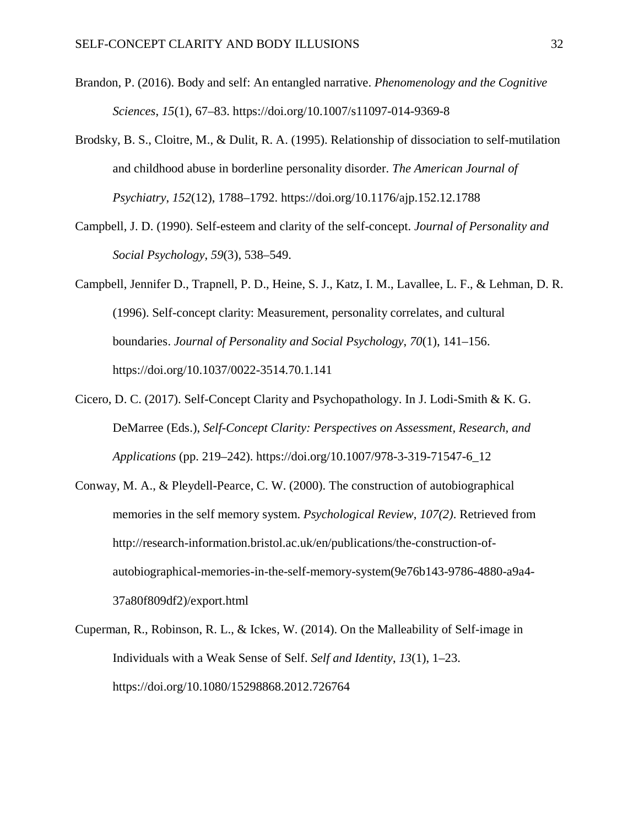- Brandon, P. (2016). Body and self: An entangled narrative. *Phenomenology and the Cognitive Sciences*, *15*(1), 67–83. https://doi.org/10.1007/s11097-014-9369-8
- Brodsky, B. S., Cloitre, M., & Dulit, R. A. (1995). Relationship of dissociation to self-mutilation and childhood abuse in borderline personality disorder. *The American Journal of Psychiatry*, *152*(12), 1788–1792. https://doi.org/10.1176/ajp.152.12.1788
- Campbell, J. D. (1990). Self-esteem and clarity of the self-concept. *Journal of Personality and Social Psychology*, *59*(3), 538–549.
- Campbell, Jennifer D., Trapnell, P. D., Heine, S. J., Katz, I. M., Lavallee, L. F., & Lehman, D. R. (1996). Self-concept clarity: Measurement, personality correlates, and cultural boundaries. *Journal of Personality and Social Psychology*, *70*(1), 141–156. https://doi.org/10.1037/0022-3514.70.1.141
- Cicero, D. C. (2017). Self-Concept Clarity and Psychopathology. In J. Lodi-Smith & K. G. DeMarree (Eds.), *Self-Concept Clarity: Perspectives on Assessment, Research, and Applications* (pp. 219–242). https://doi.org/10.1007/978-3-319-71547-6\_12
- Conway, M. A., & Pleydell-Pearce, C. W. (2000). The construction of autobiographical memories in the self memory system. *Psychological Review*, *107(2)*. Retrieved from http://research-information.bristol.ac.uk/en/publications/the-construction-ofautobiographical-memories-in-the-self-memory-system(9e76b143-9786-4880-a9a4- 37a80f809df2)/export.html
- Cuperman, R., Robinson, R. L., & Ickes, W. (2014). On the Malleability of Self-image in Individuals with a Weak Sense of Self. *Self and Identity*, *13*(1), 1–23. https://doi.org/10.1080/15298868.2012.726764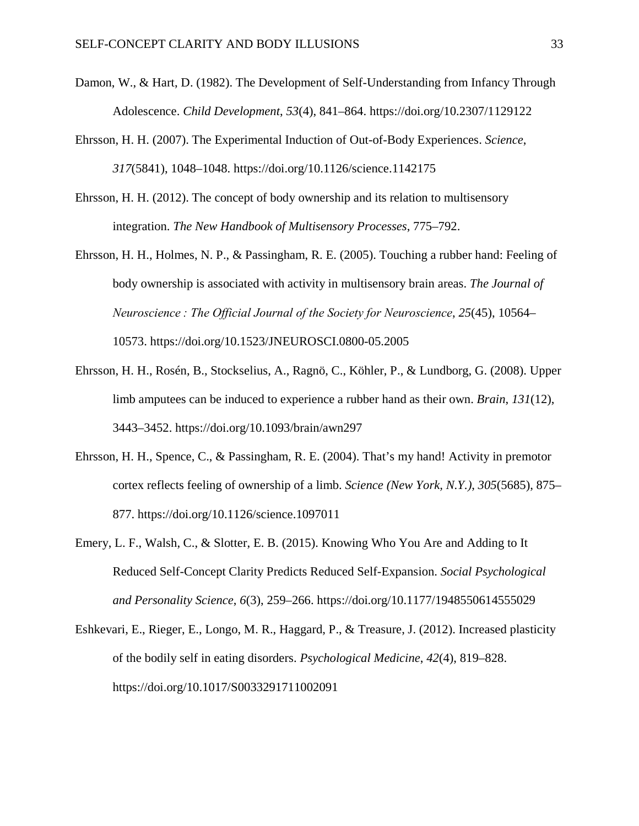- Damon, W., & Hart, D. (1982). The Development of Self-Understanding from Infancy Through Adolescence. *Child Development*, *53*(4), 841–864. https://doi.org/10.2307/1129122
- Ehrsson, H. H. (2007). The Experimental Induction of Out-of-Body Experiences. *Science*, *317*(5841), 1048–1048. https://doi.org/10.1126/science.1142175
- Ehrsson, H. H. (2012). The concept of body ownership and its relation to multisensory integration. *The New Handbook of Multisensory Processes*, 775–792.
- Ehrsson, H. H., Holmes, N. P., & Passingham, R. E. (2005). Touching a rubber hand: Feeling of body ownership is associated with activity in multisensory brain areas. *The Journal of Neuroscience : The Official Journal of the Society for Neuroscience*, *25*(45), 10564– 10573. https://doi.org/10.1523/JNEUROSCI.0800-05.2005
- Ehrsson, H. H., Rosén, B., Stockselius, A., Ragnö, C., Köhler, P., & Lundborg, G. (2008). Upper limb amputees can be induced to experience a rubber hand as their own. *Brain*, *131*(12), 3443–3452. https://doi.org/10.1093/brain/awn297
- Ehrsson, H. H., Spence, C., & Passingham, R. E. (2004). That's my hand! Activity in premotor cortex reflects feeling of ownership of a limb. *Science (New York, N.Y.)*, *305*(5685), 875– 877. https://doi.org/10.1126/science.1097011
- Emery, L. F., Walsh, C., & Slotter, E. B. (2015). Knowing Who You Are and Adding to It Reduced Self-Concept Clarity Predicts Reduced Self-Expansion. *Social Psychological and Personality Science*, *6*(3), 259–266. https://doi.org/10.1177/1948550614555029
- Eshkevari, E., Rieger, E., Longo, M. R., Haggard, P., & Treasure, J. (2012). Increased plasticity of the bodily self in eating disorders. *Psychological Medicine*, *42*(4), 819–828. https://doi.org/10.1017/S0033291711002091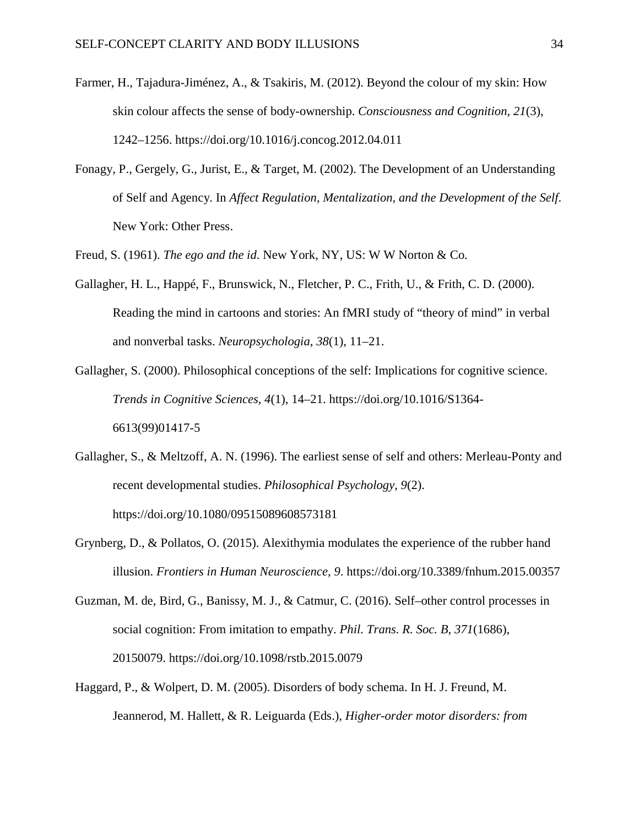- Farmer, H., Tajadura-Jiménez, A., & Tsakiris, M. (2012). Beyond the colour of my skin: How skin colour affects the sense of body-ownership. *Consciousness and Cognition*, *21*(3), 1242–1256. https://doi.org/10.1016/j.concog.2012.04.011
- Fonagy, P., Gergely, G., Jurist, E., & Target, M. (2002). The Development of an Understanding of Self and Agency. In *Affect Regulation, Mentalization, and the Development of the Self*. New York: Other Press.
- Freud, S. (1961). *The ego and the id*. New York, NY, US: W W Norton & Co.
- Gallagher, H. L., Happé, F., Brunswick, N., Fletcher, P. C., Frith, U., & Frith, C. D. (2000). Reading the mind in cartoons and stories: An fMRI study of "theory of mind" in verbal and nonverbal tasks. *Neuropsychologia*, *38*(1), 11–21.
- Gallagher, S. (2000). Philosophical conceptions of the self: Implications for cognitive science. *Trends in Cognitive Sciences*, *4*(1), 14–21. https://doi.org/10.1016/S1364- 6613(99)01417-5
- Gallagher, S., & Meltzoff, A. N. (1996). The earliest sense of self and others: Merleau-Ponty and recent developmental studies. *Philosophical Psychology*, *9*(2). https://doi.org/10.1080/09515089608573181
- Grynberg, D., & Pollatos, O. (2015). Alexithymia modulates the experience of the rubber hand illusion. *Frontiers in Human Neuroscience*, *9*. https://doi.org/10.3389/fnhum.2015.00357
- Guzman, M. de, Bird, G., Banissy, M. J., & Catmur, C. (2016). Self–other control processes in social cognition: From imitation to empathy. *Phil. Trans. R. Soc. B*, *371*(1686), 20150079. https://doi.org/10.1098/rstb.2015.0079
- Haggard, P., & Wolpert, D. M. (2005). Disorders of body schema. In H. J. Freund, M. Jeannerod, M. Hallett, & R. Leiguarda (Eds.), *Higher-order motor disorders: from*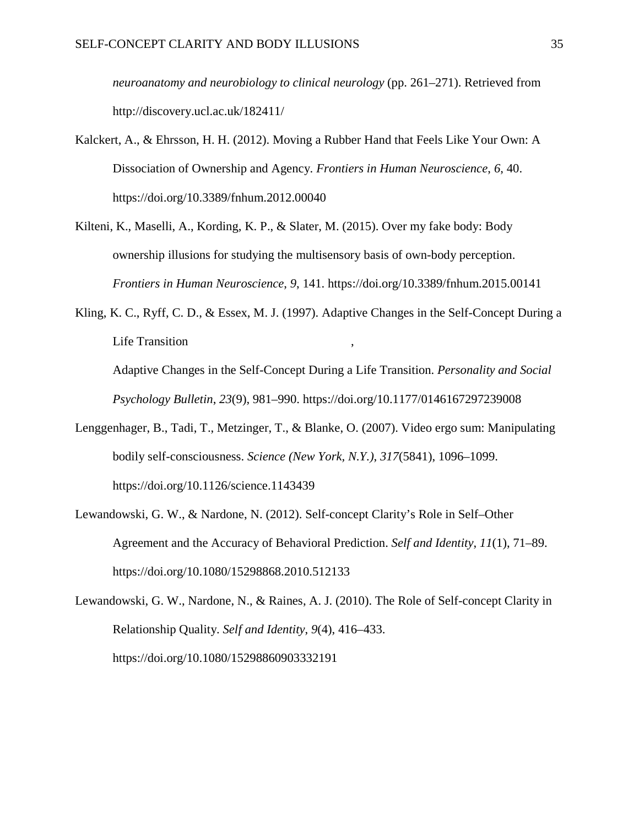*neuroanatomy and neurobiology to clinical neurology* (pp. 261–271). Retrieved from http://discovery.ucl.ac.uk/182411/

- Kalckert, A., & Ehrsson, H. H. (2012). Moving a Rubber Hand that Feels Like Your Own: A Dissociation of Ownership and Agency. *Frontiers in Human Neuroscience*, *6*, 40. https://doi.org/10.3389/fnhum.2012.00040
- Kilteni, K., Maselli, A., Kording, K. P., & Slater, M. (2015). Over my fake body: Body ownership illusions for studying the multisensory basis of own-body perception. *Frontiers in Human Neuroscience*, *9*, 141. https://doi.org/10.3389/fnhum.2015.00141
- Kling, K. C., Ryff, C. D., & Essex, M. J. (1997). Adaptive Changes in the Self-Concept During a Life Transition

Adaptive Changes in the Self-Concept During a Life Transition. *Personality and Social Psychology Bulletin*, *23*(9), 981–990. https://doi.org/10.1177/0146167297239008

- Lenggenhager, B., Tadi, T., Metzinger, T., & Blanke, O. (2007). Video ergo sum: Manipulating bodily self-consciousness. *Science (New York, N.Y.)*, *317*(5841), 1096–1099. https://doi.org/10.1126/science.1143439
- Lewandowski, G. W., & Nardone, N. (2012). Self-concept Clarity's Role in Self–Other Agreement and the Accuracy of Behavioral Prediction. *Self and Identity*, *11*(1), 71–89. https://doi.org/10.1080/15298868.2010.512133

Lewandowski, G. W., Nardone, N., & Raines, A. J. (2010). The Role of Self-concept Clarity in Relationship Quality. *Self and Identity*, *9*(4), 416–433. https://doi.org/10.1080/15298860903332191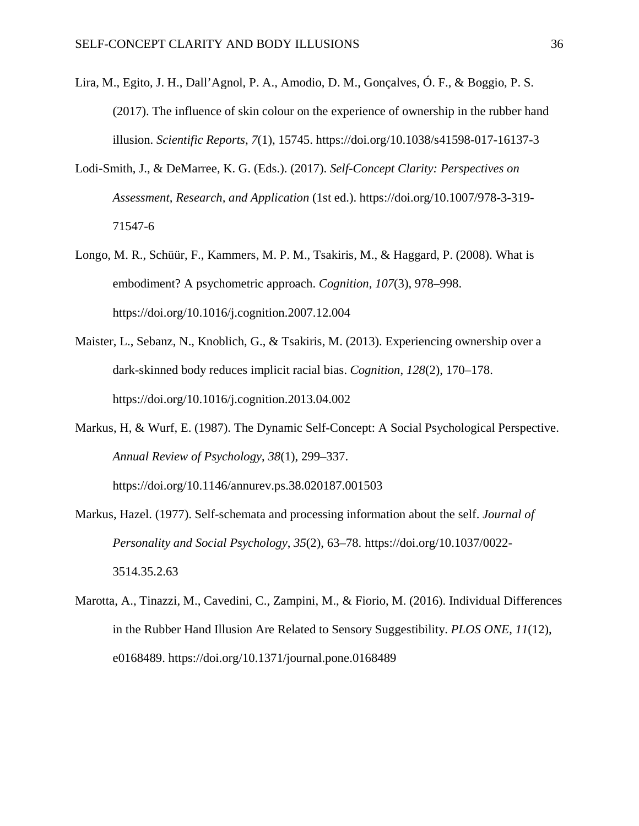- Lira, M., Egito, J. H., Dall'Agnol, P. A., Amodio, D. M., Gonçalves, Ó. F., & Boggio, P. S. (2017). The influence of skin colour on the experience of ownership in the rubber hand illusion. *Scientific Reports*, *7*(1), 15745. https://doi.org/10.1038/s41598-017-16137-3
- Lodi-Smith, J., & DeMarree, K. G. (Eds.). (2017). *Self-Concept Clarity: Perspectives on Assessment, Research, and Application* (1st ed.). https://doi.org/10.1007/978-3-319- 71547-6
- Longo, M. R., Schüür, F., Kammers, M. P. M., Tsakiris, M., & Haggard, P. (2008). What is embodiment? A psychometric approach. *Cognition*, *107*(3), 978–998. https://doi.org/10.1016/j.cognition.2007.12.004
- Maister, L., Sebanz, N., Knoblich, G., & Tsakiris, M. (2013). Experiencing ownership over a dark-skinned body reduces implicit racial bias. *Cognition*, *128*(2), 170–178. https://doi.org/10.1016/j.cognition.2013.04.002
- Markus, H, & Wurf, E. (1987). The Dynamic Self-Concept: A Social Psychological Perspective. *Annual Review of Psychology*, *38*(1), 299–337.

https://doi.org/10.1146/annurev.ps.38.020187.001503

- Markus, Hazel. (1977). Self-schemata and processing information about the self. *Journal of Personality and Social Psychology*, *35*(2), 63–78. https://doi.org/10.1037/0022- 3514.35.2.63
- Marotta, A., Tinazzi, M., Cavedini, C., Zampini, M., & Fiorio, M. (2016). Individual Differences in the Rubber Hand Illusion Are Related to Sensory Suggestibility. *PLOS ONE*, *11*(12), e0168489. https://doi.org/10.1371/journal.pone.0168489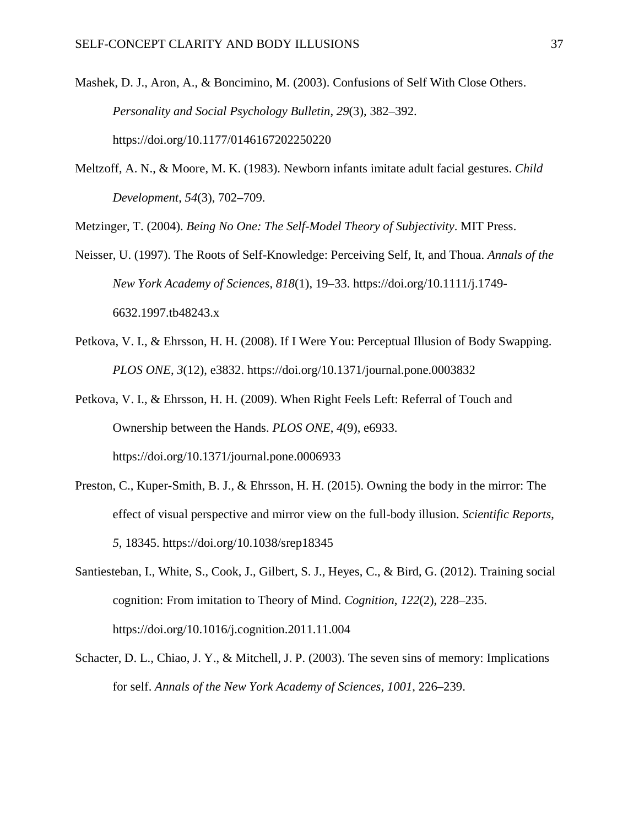- Mashek, D. J., Aron, A., & Boncimino, M. (2003). Confusions of Self With Close Others. *Personality and Social Psychology Bulletin*, *29*(3), 382–392. https://doi.org/10.1177/0146167202250220
- Meltzoff, A. N., & Moore, M. K. (1983). Newborn infants imitate adult facial gestures. *Child Development*, *54*(3), 702–709.

Metzinger, T. (2004). *Being No One: The Self-Model Theory of Subjectivity*. MIT Press.

- Neisser, U. (1997). The Roots of Self-Knowledge: Perceiving Self, It, and Thoua. *Annals of the New York Academy of Sciences*, *818*(1), 19–33. https://doi.org/10.1111/j.1749- 6632.1997.tb48243.x
- Petkova, V. I., & Ehrsson, H. H. (2008). If I Were You: Perceptual Illusion of Body Swapping. *PLOS ONE*, *3*(12), e3832. https://doi.org/10.1371/journal.pone.0003832
- Petkova, V. I., & Ehrsson, H. H. (2009). When Right Feels Left: Referral of Touch and Ownership between the Hands. *PLOS ONE*, *4*(9), e6933. https://doi.org/10.1371/journal.pone.0006933
- Preston, C., Kuper-Smith, B. J., & Ehrsson, H. H. (2015). Owning the body in the mirror: The effect of visual perspective and mirror view on the full-body illusion. *Scientific Reports*, *5*, 18345. https://doi.org/10.1038/srep18345
- Santiesteban, I., White, S., Cook, J., Gilbert, S. J., Heyes, C., & Bird, G. (2012). Training social cognition: From imitation to Theory of Mind. *Cognition*, *122*(2), 228–235. https://doi.org/10.1016/j.cognition.2011.11.004
- Schacter, D. L., Chiao, J. Y., & Mitchell, J. P. (2003). The seven sins of memory: Implications for self. *Annals of the New York Academy of Sciences*, *1001*, 226–239.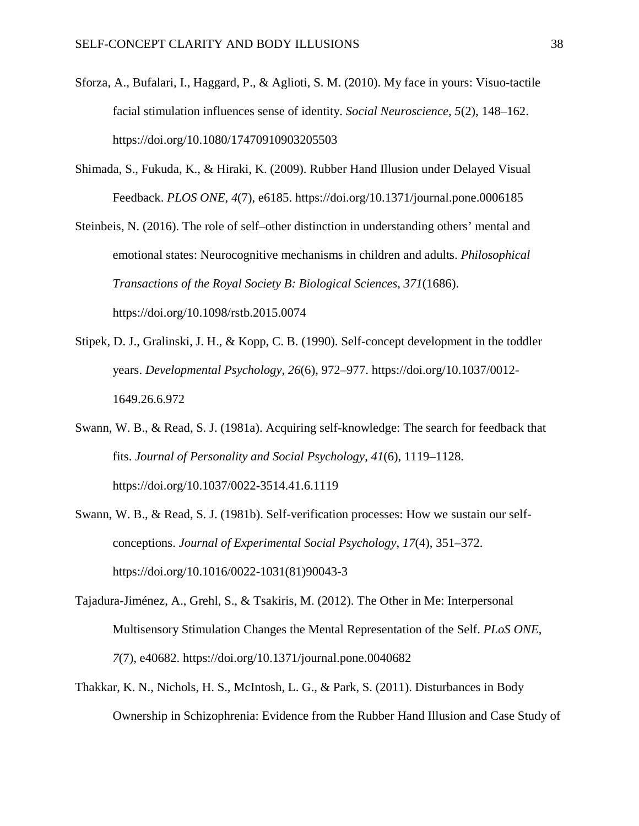- Sforza, A., Bufalari, I., Haggard, P., & Aglioti, S. M. (2010). My face in yours: Visuo-tactile facial stimulation influences sense of identity. *Social Neuroscience*, *5*(2), 148–162. https://doi.org/10.1080/17470910903205503
- Shimada, S., Fukuda, K., & Hiraki, K. (2009). Rubber Hand Illusion under Delayed Visual Feedback. *PLOS ONE*, *4*(7), e6185. https://doi.org/10.1371/journal.pone.0006185
- Steinbeis, N. (2016). The role of self–other distinction in understanding others' mental and emotional states: Neurocognitive mechanisms in children and adults. *Philosophical Transactions of the Royal Society B: Biological Sciences*, *371*(1686). https://doi.org/10.1098/rstb.2015.0074
- Stipek, D. J., Gralinski, J. H., & Kopp, C. B. (1990). Self-concept development in the toddler years. *Developmental Psychology*, *26*(6), 972–977. https://doi.org/10.1037/0012- 1649.26.6.972
- Swann, W. B., & Read, S. J. (1981a). Acquiring self-knowledge: The search for feedback that fits. *Journal of Personality and Social Psychology*, *41*(6), 1119–1128. https://doi.org/10.1037/0022-3514.41.6.1119
- Swann, W. B., & Read, S. J. (1981b). Self-verification processes: How we sustain our selfconceptions. *Journal of Experimental Social Psychology*, *17*(4), 351–372. https://doi.org/10.1016/0022-1031(81)90043-3
- Tajadura-Jiménez, A., Grehl, S., & Tsakiris, M. (2012). The Other in Me: Interpersonal Multisensory Stimulation Changes the Mental Representation of the Self. *PLoS ONE*, *7*(7), e40682. https://doi.org/10.1371/journal.pone.0040682
- Thakkar, K. N., Nichols, H. S., McIntosh, L. G., & Park, S. (2011). Disturbances in Body Ownership in Schizophrenia: Evidence from the Rubber Hand Illusion and Case Study of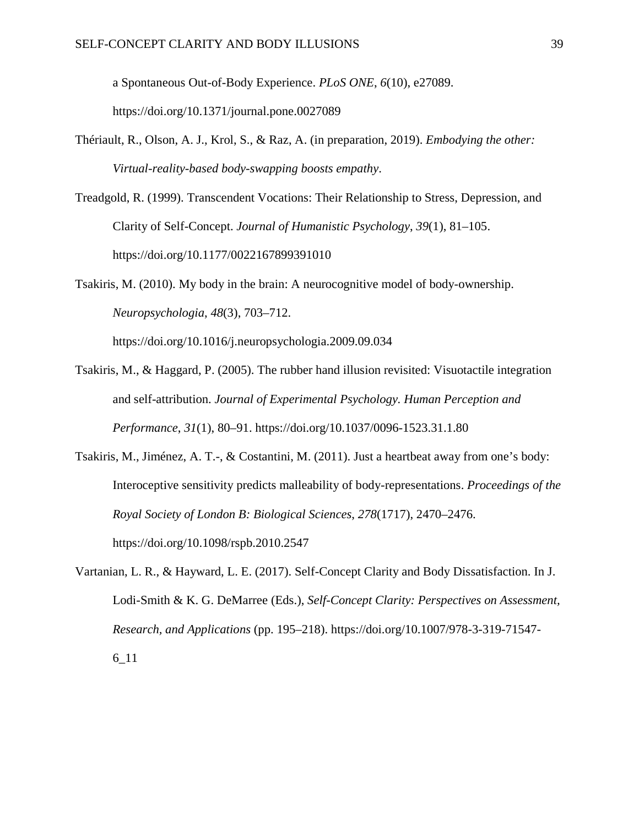a Spontaneous Out-of-Body Experience. *PLoS ONE*, *6*(10), e27089.

https://doi.org/10.1371/journal.pone.0027089

- Thériault, R., Olson, A. J., Krol, S., & Raz, A. (in preparation, 2019). *Embodying the other: Virtual-reality-based body-swapping boosts empathy*.
- Treadgold, R. (1999). Transcendent Vocations: Their Relationship to Stress, Depression, and Clarity of Self-Concept. *Journal of Humanistic Psychology*, *39*(1), 81–105. https://doi.org/10.1177/0022167899391010

Tsakiris, M. (2010). My body in the brain: A neurocognitive model of body-ownership. *Neuropsychologia*, *48*(3), 703–712.

https://doi.org/10.1016/j.neuropsychologia.2009.09.034

- Tsakiris, M., & Haggard, P. (2005). The rubber hand illusion revisited: Visuotactile integration and self-attribution. *Journal of Experimental Psychology. Human Perception and Performance*, *31*(1), 80–91. https://doi.org/10.1037/0096-1523.31.1.80
- Tsakiris, M., Jiménez, A. T.-, & Costantini, M. (2011). Just a heartbeat away from one's body: Interoceptive sensitivity predicts malleability of body-representations. *Proceedings of the Royal Society of London B: Biological Sciences*, *278*(1717), 2470–2476. https://doi.org/10.1098/rspb.2010.2547
- Vartanian, L. R., & Hayward, L. E. (2017). Self-Concept Clarity and Body Dissatisfaction. In J. Lodi-Smith & K. G. DeMarree (Eds.), *Self-Concept Clarity: Perspectives on Assessment, Research, and Applications* (pp. 195–218). https://doi.org/10.1007/978-3-319-71547- 6\_11